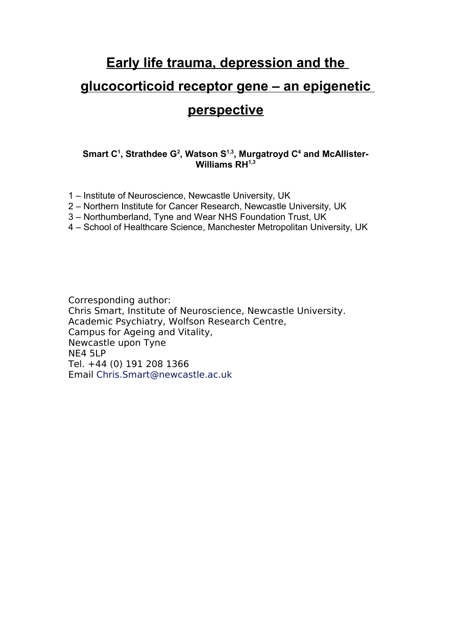# **Early life trauma, depression and the glucocorticoid receptor gene – an epigenetic perspective**

#### **Smart C<sup>1</sup> , Strathdee G<sup>2</sup> , Watson S1,3, Murgatroyd C<sup>4</sup> and McAllister-Williams RH1,3**

- 1 Institute of Neuroscience, Newcastle University, UK
- 2 Northern Institute for Cancer Research, Newcastle University, UK
- 3 Northumberland, Tyne and Wear NHS Foundation Trust, UK
- 4 School of Healthcare Science, Manchester Metropolitan University, UK

Corresponding author: Chris Smart, Institute of Neuroscience, Newcastle University. Academic Psychiatry, Wolfson Research Centre, Campus for Ageing and Vitality, Newcastle upon Tyne NE4 5LP Tel. +44 (0) 191 208 1366 Email Chris.Smart@newcastle.ac.uk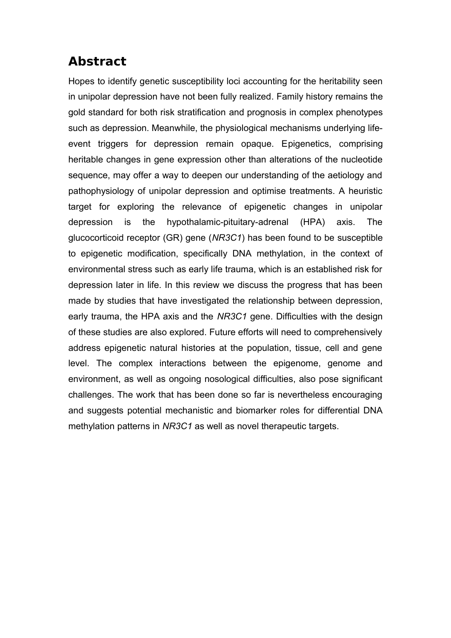## **Abstract**

Hopes to identify genetic susceptibility loci accounting for the heritability seen in unipolar depression have not been fully realized. Family history remains the gold standard for both risk stratification and prognosis in complex phenotypes such as depression. Meanwhile, the physiological mechanisms underlying lifeevent triggers for depression remain opaque. Epigenetics, comprising heritable changes in gene expression other than alterations of the nucleotide sequence, may offer a way to deepen our understanding of the aetiology and pathophysiology of unipolar depression and optimise treatments. A heuristic target for exploring the relevance of epigenetic changes in unipolar depression is the hypothalamic-pituitary-adrenal (HPA) axis. The glucocorticoid receptor (GR) gene (*NR3C1*) has been found to be susceptible to epigenetic modification, specifically DNA methylation, in the context of environmental stress such as early life trauma, which is an established risk for depression later in life. In this review we discuss the progress that has been made by studies that have investigated the relationship between depression, early trauma, the HPA axis and the *NR3C1* gene. Difficulties with the design of these studies are also explored. Future efforts will need to comprehensively address epigenetic natural histories at the population, tissue, cell and gene level. The complex interactions between the epigenome, genome and environment, as well as ongoing nosological difficulties, also pose significant challenges. The work that has been done so far is nevertheless encouraging and suggests potential mechanistic and biomarker roles for differential DNA methylation patterns in *NR3C1* as well as novel therapeutic targets.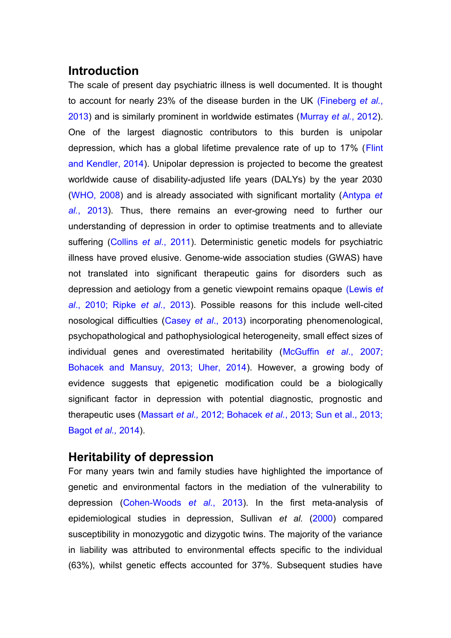#### **Introduction**

The scale of present day psychiatric illness is well documented. It is thought to account for nearly 23% of the disease burden in the UK (Fineberg *et al.*, 2013) and is similarly prominent in worldwide estimates (Murray *et al.*, 2012). One of the largest diagnostic contributors to this burden is unipolar depression, which has a global lifetime prevalence rate of up to 17% (Flint and Kendler, 2014). Unipolar depression is projected to become the greatest worldwide cause of disability-adjusted life years (DALYs) by the year 2030 (WHO, 2008) and is already associated with significant mortality (Antypa *et al.*, 2013). Thus, there remains an ever-growing need to further our understanding of depression in order to optimise treatments and to alleviate suffering (Collins *et al*., 2011). Deterministic genetic models for psychiatric illness have proved elusive. Genome-wide association studies (GWAS) have not translated into significant therapeutic gains for disorders such as depression and aetiology from a genetic viewpoint remains opaque (Lewis *et al*., 2010; Ripke *et al*., 2013). Possible reasons for this include well-cited nosological difficulties (Casey *et al*., 2013) incorporating phenomenological, psychopathological and pathophysiological heterogeneity, small effect sizes of individual genes and overestimated heritability (McGuffin *et al*., 2007; Bohacek and Mansuy, 2013; Uher, 2014). However, a growing body of evidence suggests that epigenetic modification could be a biologically significant factor in depression with potential diagnostic, prognostic and therapeutic uses (Massart *et al.,* 2012; Bohacek *et al.*, 2013; Sun et al., 2013; Bagot *et al.,* 2014).

#### **Heritability of depression**

For many years twin and family studies have highlighted the importance of genetic and environmental factors in the mediation of the vulnerability to depression (Cohen-Woods *et al.*, 2013). In the first meta-analysis of epidemiological studies in depression, Sullivan *et al.* (2000) compared susceptibility in monozygotic and dizygotic twins. The majority of the variance in liability was attributed to environmental effects specific to the individual (63%), whilst genetic effects accounted for 37%. Subsequent studies have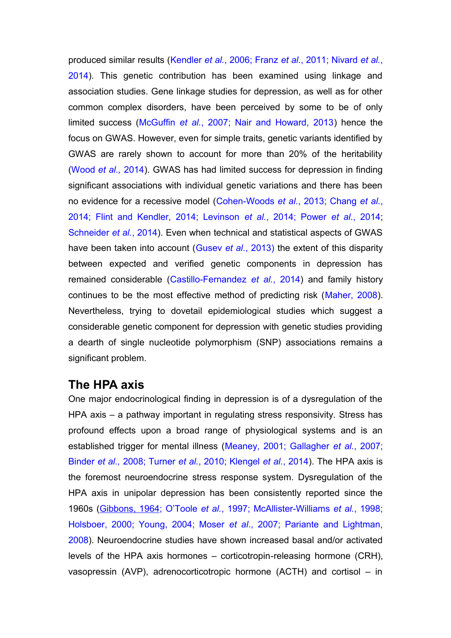produced similar results (Kendler *et al.*, 2006; Franz *et al.*, 2011; Nivard *et al.*, 2014). This genetic contribution has been examined using linkage and association studies. Gene linkage studies for depression, as well as for other common complex disorders, have been perceived by some to be of only limited success (McGuffin *et al.*, 2007; Nair and Howard, 2013) hence the focus on GWAS. However, even for simple traits, genetic variants identified by GWAS are rarely shown to account for more than 20% of the heritability (Wood *et al.,* 2014). GWAS has had limited success for depression in finding significant associations with individual genetic variations and there has been no evidence for a recessive model (Cohen-Woods *et al.*, 2013; Chang *et al.*, 2014; Flint and Kendler, 2014; Levinson *et al.*, 2014; Power *et al.*, 2014; Schneider *et al.*, 2014). Even when technical and statistical aspects of GWAS have been taken into account (Gusev *et al.*, 2013) the extent of this disparity between expected and verified genetic components in depression has remained considerable (Castillo-Fernandez *et al.*, 2014) and family history continues to be the most effective method of predicting risk (Maher, 2008). Nevertheless, trying to dovetail epidemiological studies which suggest a considerable genetic component for depression with genetic studies providing a dearth of single nucleotide polymorphism (SNP) associations remains a significant problem.

#### **The HPA axis**

<span id="page-3-0"></span>One major endocrinological finding in depression is of a dysregulation of the HPA axis – a pathway important in regulating stress responsivity. Stress has profound effects upon a broad range of physiological systems and is an established trigger for mental illness (Meaney, 2001; Gallagher *et al.*, 2007; Binder *et al.,* 2008; Turner *et al.*, 2010; Klengel *et al.*, 2014). The HPA axis is the foremost neuroendocrine stress response system. Dysregulation of the HPA axis in unipolar depression has been consistently reported since the 1960s [\(Gibbons, 1964;](#page-3-0) O'Toole *et al.*, 1997; McAllister-Williams *et al.*, 1998; Holsboer, 2000; Young, 2004; Moser *et al*., 2007; Pariante and Lightman, 2008). Neuroendocrine studies have shown increased basal and/or activated levels of the HPA axis hormones – corticotropin-releasing hormone (CRH), vasopressin (AVP), adrenocorticotropic hormone (ACTH) and cortisol – in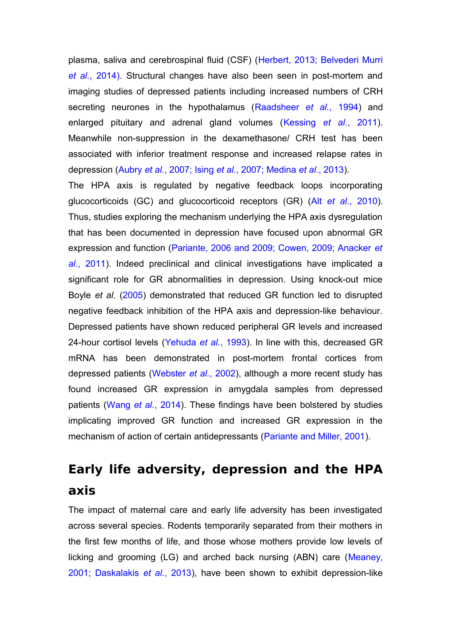plasma, saliva and cerebrospinal fluid (CSF) (Herbert, 2013; Belvederi Murri *et al.*, 2014). Structural changes have also been seen in post-mortem and imaging studies of depressed patients including increased numbers of CRH secreting neurones in the hypothalamus (Raadsheer *et al.*, 1994) and enlarged pituitary and adrenal gland volumes (Kessing *et al.*, 2011). Meanwhile non-suppression in the dexamethasone/ CRH test has been associated with inferior treatment response and increased relapse rates in depression (Aubry *et al.*, 2007; Ising *et al.*, 2007; Medina *et al.*, 2013).

The HPA axis is regulated by negative feedback loops incorporating glucocorticoids (GC) and glucocorticoid receptors (GR) (Alt *et al.*, 2010). Thus, studies exploring the mechanism underlying the HPA axis dysregulation that has been documented in depression have focused upon abnormal GR expression and function (Pariante, 2006 and 2009; Cowen, 2009; Anacker *et al.*, 2011). Indeed preclinical and clinical investigations have implicated a significant role for GR abnormalities in depression. Using knock-out mice Boyle *et al.* (2005) demonstrated that reduced GR function led to disrupted negative feedback inhibition of the HPA axis and depression-like behaviour. Depressed patients have shown reduced peripheral GR levels and increased 24-hour cortisol levels (Yehuda *et al.*, 1993). In line with this, decreased GR mRNA has been demonstrated in post-mortem frontal cortices from depressed patients (Webster *et al.*, 2002), although a more recent study has found increased GR expression in amygdala samples from depressed patients (Wang *et al.*, 2014). These findings have been bolstered by studies implicating improved GR function and increased GR expression in the mechanism of action of certain antidepressants (Pariante and Miller, 2001).

## **Early life adversity, depression and the HPA axis**

The impact of maternal care and early life adversity has been investigated across several species. Rodents temporarily separated from their mothers in the first few months of life, and those whose mothers provide low levels of licking and grooming (LG) and arched back nursing (ABN) care (Meaney, 2001; Daskalakis *et al.*, 2013), have been shown to exhibit depression-like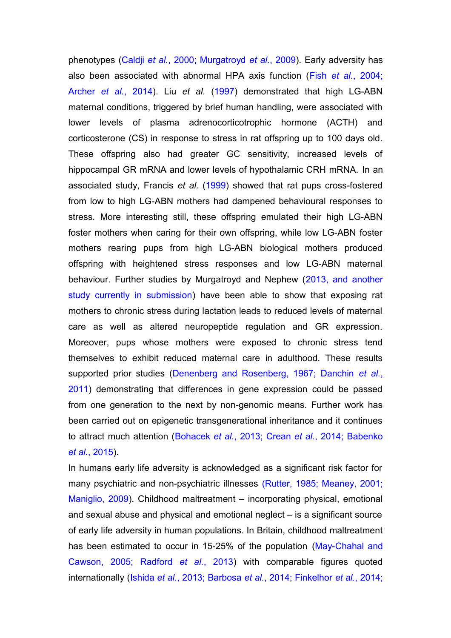phenotypes (Caldji *et al.*, 2000; Murgatroyd *et al.*, 2009). Early adversity has also been associated with abnormal HPA axis function (Fish *et al.*, 2004; Archer *et al.*, 2014). Liu *et al.* (1997) demonstrated that high LG-ABN maternal conditions, triggered by brief human handling, were associated with lower levels of plasma adrenocorticotrophic hormone (ACTH) and corticosterone (CS) in response to stress in rat offspring up to 100 days old. These offspring also had greater GC sensitivity, increased levels of hippocampal GR mRNA and lower levels of hypothalamic CRH mRNA. In an associated study, Francis *et al.* (1999) showed that rat pups cross-fostered from low to high LG-ABN mothers had dampened behavioural responses to stress. More interesting still, these offspring emulated their high LG-ABN foster mothers when caring for their own offspring, while low LG-ABN foster mothers rearing pups from high LG-ABN biological mothers produced offspring with heightened stress responses and low LG-ABN maternal behaviour. Further studies by Murgatroyd and Nephew (2013, and another study currently in submission) have been able to show that exposing rat mothers to chronic stress during lactation leads to reduced levels of maternal care as well as altered neuropeptide regulation and GR expression. Moreover, pups whose mothers were exposed to chronic stress tend themselves to exhibit reduced maternal care in adulthood. These results supported prior studies (Denenberg and Rosenberg, 1967; Danchin *et al.*, 2011) demonstrating that differences in gene expression could be passed from one generation to the next by non-genomic means. Further work has been carried out on epigenetic transgenerational inheritance and it continues to attract much attention (Bohacek *et al.*, 2013; Crean *et al.*, 2014; Babenko *et al.*, 2015).

In humans early life adversity is acknowledged as a significant risk factor for many psychiatric and non-psychiatric illnesses (Rutter, 1985; Meaney, 2001; Maniglio, 2009). Childhood maltreatment – incorporating physical, emotional and sexual abuse and physical and emotional neglect – is a significant source of early life adversity in human populations. In Britain, childhood maltreatment has been estimated to occur in 15-25% of the population (May-Chahal and Cawson, 2005; Radford *et al.*, 2013) with comparable figures quoted internationally (Ishida *et al.*, 2013; Barbosa *et al.*, 2014; Finkelhor *et al.*, 2014;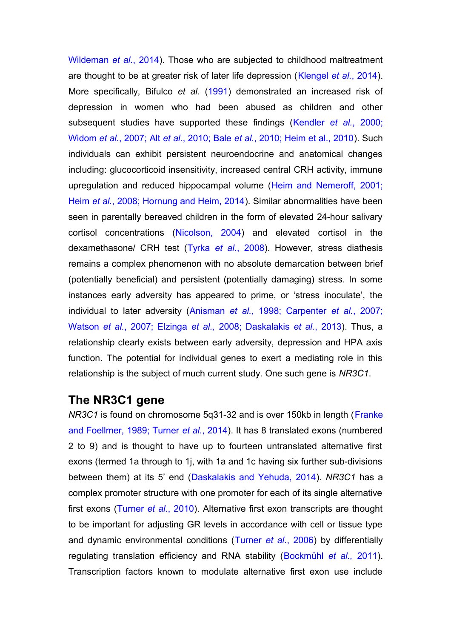Wildeman *et al.*, 2014). Those who are subjected to childhood maltreatment are thought to be at greater risk of later life depression (Klengel *et al.*, 2014). More specifically, Bifulco *et al.* (1991) demonstrated an increased risk of depression in women who had been abused as children and other subsequent studies have supported these findings (Kendler *et al.*, 2000; Widom *et al.*, 2007; Alt *et al.*, 2010; Bale *et al.*, 2010; Heim et al., 2010). Such individuals can exhibit persistent neuroendocrine and anatomical changes including: glucocorticoid insensitivity, increased central CRH activity, immune upregulation and reduced hippocampal volume (Heim and Nemeroff, 2001; Heim *et al.*, 2008; Hornung and Heim, 2014). Similar abnormalities have been seen in parentally bereaved children in the form of elevated 24-hour salivary cortisol concentrations (Nicolson, 2004) and elevated cortisol in the dexamethasone/ CRH test (Tyrka *et al.*, 2008). However, stress diathesis remains a complex phenomenon with no absolute demarcation between brief (potentially beneficial) and persistent (potentially damaging) stress. In some instances early adversity has appeared to prime, or 'stress inoculate', the individual to later adversity (Anisman *et al.*, 1998; Carpenter *et al.*, 2007; Watson *et al.*, 2007; Elzinga *et al.,* 2008; Daskalakis *et al.*, 2013). Thus, a relationship clearly exists between early adversity, depression and HPA axis function. The potential for individual genes to exert a mediating role in this relationship is the subject of much current study. One such gene is *NR3C1*.

#### **The NR3C1 gene**

*NR3C1* is found on chromosome 5q31-32 and is over 150kb in length (Franke and Foellmer, 1989; Turner *et al.*, 2014). It has 8 translated exons (numbered 2 to 9) and is thought to have up to fourteen untranslated alternative first exons (termed 1a through to 1j, with 1a and 1c having six further sub-divisions between them) at its 5' end (Daskalakis and Yehuda, 2014). *NR3C1* has a complex promoter structure with one promoter for each of its single alternative first exons (Turner *et al.*, 2010). Alternative first exon transcripts are thought to be important for adjusting GR levels in accordance with cell or tissue type and dynamic environmental conditions (Turner *et al.*, 2006) by differentially regulating translation efficiency and RNA stability (Bockmühl *et al.,* 2011). Transcription factors known to modulate alternative first exon use include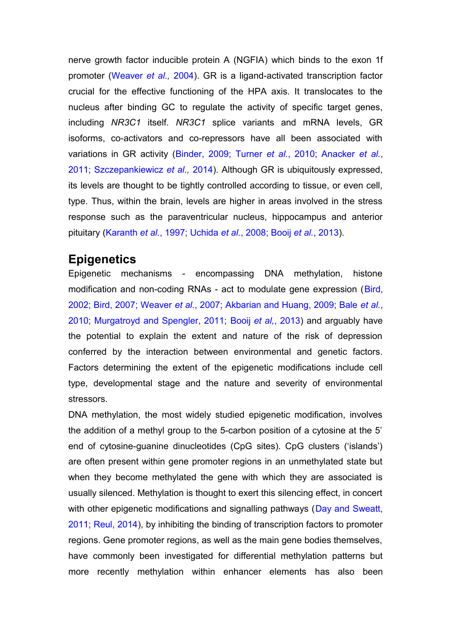nerve growth factor inducible protein A (NGFIA) which binds to the exon 1f promoter (Weaver *et al.,* 2004). GR is a ligand-activated transcription factor crucial for the effective functioning of the HPA axis. It translocates to the nucleus after binding GC to regulate the activity of specific target genes, including *NR3C1* itself. *NR3C1* splice variants and mRNA levels, GR isoforms, co-activators and co-repressors have all been associated with variations in GR activity (Binder, 2009; Turner *et al.*, 2010; Anacker *et al.*, 2011; Szczepankiewicz *et al.,* 2014). Although GR is ubiquitously expressed, its levels are thought to be tightly controlled according to tissue, or even cell, type. Thus, within the brain, levels are higher in areas involved in the stress response such as the paraventricular nucleus, hippocampus and anterior pituitary (Karanth *et al.*, 1997; Uchida *et al.*, 2008; Booij *et al.*, 2013).

### **Epigenetics**

Epigenetic mechanisms - encompassing DNA methylation, histone modification and non-coding RNAs - act to modulate gene expression (Bird, 2002; Bird, 2007; Weaver *et al.*, 2007; Akbarian and Huang, 2009; Bale *et al.*, 2010; Murgatroyd and Spengler, 2011; Booij *et al,*, 2013) and arguably have the potential to explain the extent and nature of the risk of depression conferred by the interaction between environmental and genetic factors. Factors determining the extent of the epigenetic modifications include cell type, developmental stage and the nature and severity of environmental stressors.

DNA methylation, the most widely studied epigenetic modification, involves the addition of a methyl group to the 5-carbon position of a cytosine at the 5' end of cytosine-guanine dinucleotides (CpG sites). CpG clusters ('islands') are often present within gene promoter regions in an unmethylated state but when they become methylated the gene with which they are associated is usually silenced. Methylation is thought to exert this silencing effect, in concert with other epigenetic modifications and signalling pathways (Day and Sweatt, 2011; Reul, 2014), by inhibiting the binding of transcription factors to promoter regions. Gene promoter regions, as well as the main gene bodies themselves, have commonly been investigated for differential methylation patterns but more recently methylation within enhancer elements has also been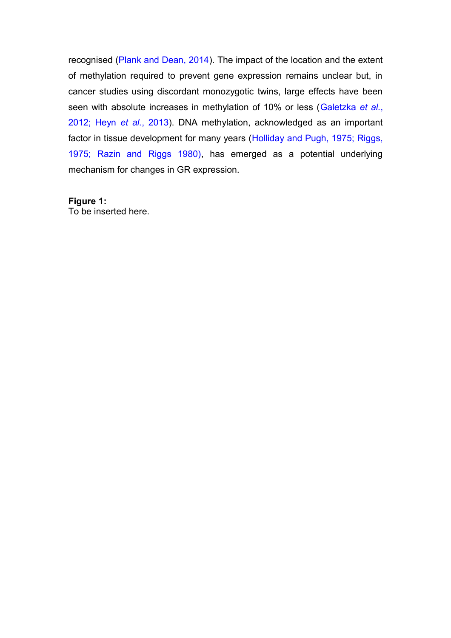recognised (Plank and Dean, 2014). The impact of the location and the extent of methylation required to prevent gene expression remains unclear but, in cancer studies using discordant monozygotic twins, large effects have been seen with absolute increases in methylation of 10% or less (Galetzka *et al.*, 2012; Heyn *et al.*, 2013). DNA methylation, acknowledged as an important factor in tissue development for many years (Holliday and Pugh, 1975; Riggs, 1975; Razin and Riggs 1980), has emerged as a potential underlying mechanism for changes in GR expression.

#### **Figure 1:**

To be inserted here.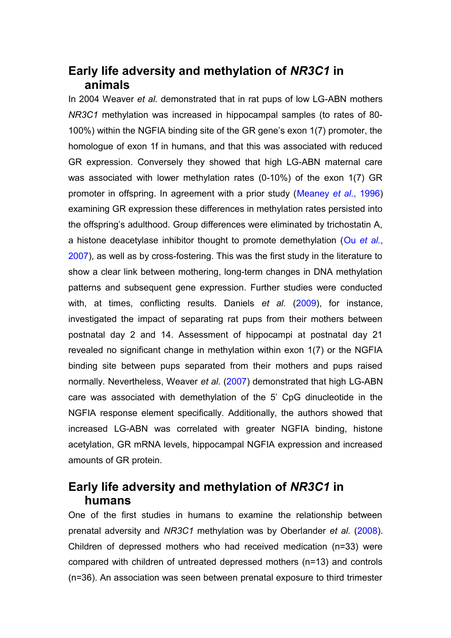#### **Early life adversity and methylation of** *NR3C1* **in animals**

In 2004 Weaver *et al.* demonstrated that in rat pups of low LG-ABN mothers *NR3C1* methylation was increased in hippocampal samples (to rates of 80- 100%) within the NGFIA binding site of the GR gene's exon 1(7) promoter, the homologue of exon 1f in humans, and that this was associated with reduced GR expression. Conversely they showed that high LG-ABN maternal care was associated with lower methylation rates (0-10%) of the exon 1(7) GR promoter in offspring. In agreement with a prior study (Meaney *et al.*, 1996) examining GR expression these differences in methylation rates persisted into the offspring's adulthood. Group differences were eliminated by trichostatin A, a histone deacetylase inhibitor thought to promote demethylation (Ou *et al.*, 2007), as well as by cross-fostering. This was the first study in the literature to show a clear link between mothering, long-term changes in DNA methylation patterns and subsequent gene expression. Further studies were conducted with, at times, conflicting results. Daniels *et al.* (2009), for instance, investigated the impact of separating rat pups from their mothers between postnatal day 2 and 14. Assessment of hippocampi at postnatal day 21 revealed no significant change in methylation within exon 1(7) or the NGFIA binding site between pups separated from their mothers and pups raised normally. Nevertheless, Weaver *et al.* (2007) demonstrated that high LG-ABN care was associated with demethylation of the 5' CpG dinucleotide in the NGFIA response element specifically. Additionally, the authors showed that increased LG-ABN was correlated with greater NGFIA binding, histone acetylation, GR mRNA levels, hippocampal NGFIA expression and increased amounts of GR protein.

#### **Early life adversity and methylation of** *NR3C1* **in humans**

One of the first studies in humans to examine the relationship between prenatal adversity and *NR3C1* methylation was by Oberlander *et al.* (2008). Children of depressed mothers who had received medication (n=33) were compared with children of untreated depressed mothers (n=13) and controls (n=36). An association was seen between prenatal exposure to third trimester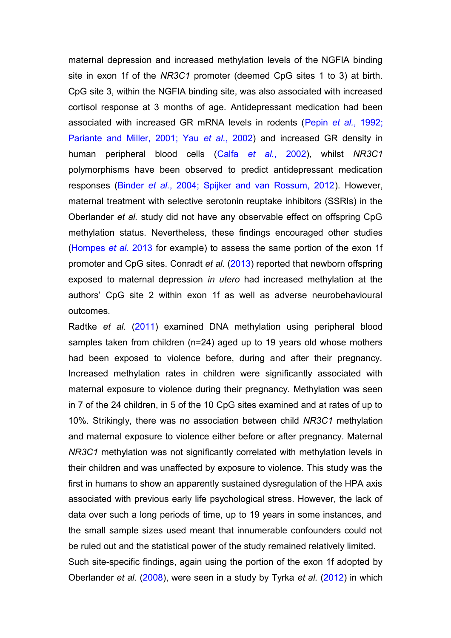maternal depression and increased methylation levels of the NGFIA binding site in exon 1f of the *NR3C1* promoter (deemed CpG sites 1 to 3) at birth. CpG site 3, within the NGFIA binding site, was also associated with increased cortisol response at 3 months of age. Antidepressant medication had been associated with increased GR mRNA levels in rodents (Pepin *et al.*, 1992; Pariante and Miller, 2001; Yau *et al.*, 2002) and increased GR density in human peripheral blood cells (Calfa *et al.*, 2002), whilst *NR3C1* polymorphisms have been observed to predict antidepressant medication responses (Binder *et al.*, 2004; Spijker and van Rossum, 2012). However, maternal treatment with selective serotonin reuptake inhibitors (SSRIs) in the Oberlander *et al.* study did not have any observable effect on offspring CpG methylation status. Nevertheless, these findings encouraged other studies (Hompes *et al.* 2013 for example) to assess the same portion of the exon 1f promoter and CpG sites. Conradt *et al.* (2013) reported that newborn offspring exposed to maternal depression *in utero* had increased methylation at the authors' CpG site 2 within exon 1f as well as adverse neurobehavioural outcomes.

Radtke *et al.* (2011) examined DNA methylation using peripheral blood samples taken from children (n=24) aged up to 19 years old whose mothers had been exposed to violence before, during and after their pregnancy. Increased methylation rates in children were significantly associated with maternal exposure to violence during their pregnancy. Methylation was seen in 7 of the 24 children, in 5 of the 10 CpG sites examined and at rates of up to 10%. Strikingly, there was no association between child *NR3C1* methylation and maternal exposure to violence either before or after pregnancy. Maternal *NR3C1* methylation was not significantly correlated with methylation levels in their children and was unaffected by exposure to violence. This study was the first in humans to show an apparently sustained dysregulation of the HPA axis associated with previous early life psychological stress. However, the lack of data over such a long periods of time, up to 19 years in some instances, and the small sample sizes used meant that innumerable confounders could not be ruled out and the statistical power of the study remained relatively limited. Such site-specific findings, again using the portion of the exon 1f adopted by Oberlander *et al.* (2008), were seen in a study by Tyrka *et al.* (2012) in which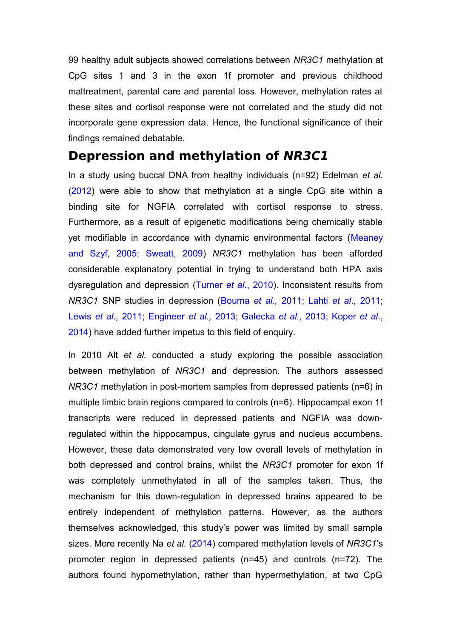99 healthy adult subjects showed correlations between *NR3C1* methylation at CpG sites 1 and 3 in the exon 1f promoter and previous childhood maltreatment, parental care and parental loss. However, methylation rates at these sites and cortisol response were not correlated and the study did not incorporate gene expression data. Hence, the functional significance of their findings remained debatable.

#### **Depression and methylation of NR3C1**

In a study using buccal DNA from healthy individuals (n=92) Edelman *et al.* (2012) were able to show that methylation at a single CpG site within a binding site for NGFIA correlated with cortisol response to stress. Furthermore, as a result of epigenetic modifications being chemically stable yet modifiable in accordance with dynamic environmental factors (Meaney and Szyf, 2005; Sweatt, 2009) *NR3C1* methylation has been afforded considerable explanatory potential in trying to understand both HPA axis dysregulation and depression (Turner *et al.*, 2010). Inconsistent results from *NR3C1* SNP studies in depression (Bouma *et al.,* 2011; Lahti *et al*., 2011; Lewis *et al.,* 2011; Engineer *et al.,* 2013; Galecka *et al.,* 2013; Koper *et al*., 2014) have added further impetus to this field of enquiry.

In 2010 Alt *et al.* conducted a study exploring the possible association between methylation of *NR3C1* and depression. The authors assessed *NR3C1* methylation in post-mortem samples from depressed patients (n=6) in multiple limbic brain regions compared to controls (n=6). Hippocampal exon 1f transcripts were reduced in depressed patients and NGFIA was downregulated within the hippocampus, cingulate gyrus and nucleus accumbens. However, these data demonstrated very low overall levels of methylation in both depressed and control brains, whilst the *NR3C1* promoter for exon 1f was completely unmethylated in all of the samples taken. Thus, the mechanism for this down-regulation in depressed brains appeared to be entirely independent of methylation patterns. However, as the authors themselves acknowledged, this study's power was limited by small sample sizes. More recently Na *et al.* (2014) compared methylation levels of *NR3C1*'s promoter region in depressed patients (n=45) and controls (n=72). The authors found hypomethylation, rather than hypermethylation, at two CpG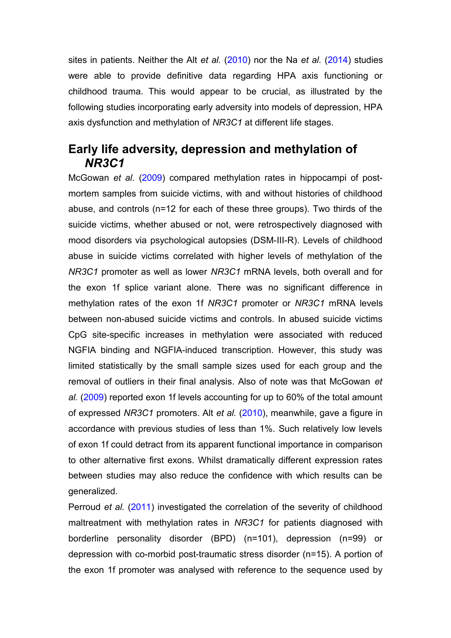sites in patients. Neither the Alt *et al.* (2010) nor the Na *et al.* (2014) studies were able to provide definitive data regarding HPA axis functioning or childhood trauma. This would appear to be crucial, as illustrated by the following studies incorporating early adversity into models of depression, HPA axis dysfunction and methylation of *NR3C1* at different life stages.

#### **Early life adversity, depression and methylation of** *NR3C1*

McGowan *et al.* (2009) compared methylation rates in hippocampi of postmortem samples from suicide victims, with and without histories of childhood abuse, and controls (n=12 for each of these three groups). Two thirds of the suicide victims, whether abused or not, were retrospectively diagnosed with mood disorders via psychological autopsies (DSM-III-R). Levels of childhood abuse in suicide victims correlated with higher levels of methylation of the *NR3C1* promoter as well as lower *NR3C1* mRNA levels, both overall and for the exon 1f splice variant alone. There was no significant difference in methylation rates of the exon 1f *NR3C1* promoter or *NR3C1* mRNA levels between non-abused suicide victims and controls. In abused suicide victims CpG site-specific increases in methylation were associated with reduced NGFIA binding and NGFIA-induced transcription. However, this study was limited statistically by the small sample sizes used for each group and the removal of outliers in their final analysis. Also of note was that McGowan *et al.* (2009) reported exon 1f levels accounting for up to 60% of the total amount of expressed *NR3C1* promoters. Alt *et al.* (2010), meanwhile, gave a figure in accordance with previous studies of less than 1%. Such relatively low levels of exon 1f could detract from its apparent functional importance in comparison to other alternative first exons. Whilst dramatically different expression rates between studies may also reduce the confidence with which results can be generalized.

Perroud *et al.* (2011) investigated the correlation of the severity of childhood maltreatment with methylation rates in *NR3C1* for patients diagnosed with borderline personality disorder (BPD) (n=101), depression (n=99) or depression with co-morbid post-traumatic stress disorder (n=15). A portion of the exon 1f promoter was analysed with reference to the sequence used by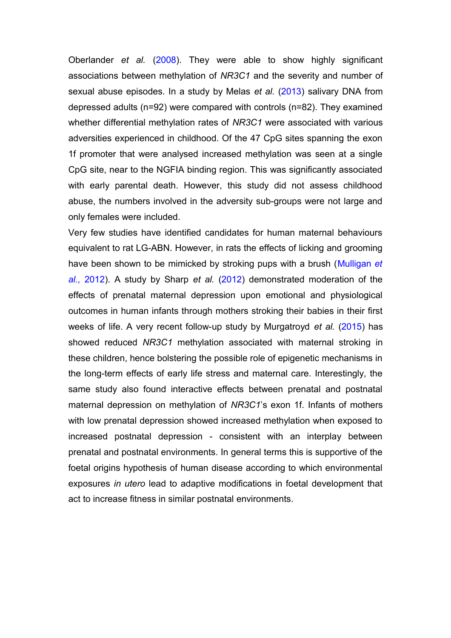Oberlander *et al.* (2008). They were able to show highly significant associations between methylation of *NR3C1* and the severity and number of sexual abuse episodes. In a study by Melas *et al.* (2013) salivary DNA from depressed adults (n=92) were compared with controls (n=82). They examined whether differential methylation rates of *NR3C1* were associated with various adversities experienced in childhood. Of the 47 CpG sites spanning the exon 1f promoter that were analysed increased methylation was seen at a single CpG site, near to the NGFIA binding region. This was significantly associated with early parental death. However, this study did not assess childhood abuse, the numbers involved in the adversity sub-groups were not large and only females were included.

Very few studies have identified candidates for human maternal behaviours equivalent to rat LG-ABN. However, in rats the effects of licking and grooming have been shown to be mimicked by stroking pups with a brush (Mulligan *et al.,* 2012). A study by Sharp *et al.* (2012) demonstrated moderation of the effects of prenatal maternal depression upon emotional and physiological outcomes in human infants through mothers stroking their babies in their first weeks of life. A very recent follow-up study by Murgatroyd *et al.* (2015) has showed reduced *NR3C1* methylation associated with maternal stroking in these children, hence bolstering the possible role of epigenetic mechanisms in the long-term effects of early life stress and maternal care. Interestingly, the same study also found interactive effects between prenatal and postnatal maternal depression on methylation of *NR3C1*'s exon 1f. Infants of mothers with low prenatal depression showed increased methylation when exposed to increased postnatal depression - consistent with an interplay between prenatal and postnatal environments. In general terms this is supportive of the foetal origins hypothesis of human disease according to which environmental exposures *in utero* lead to adaptive modifications in foetal development that act to increase fitness in similar postnatal environments.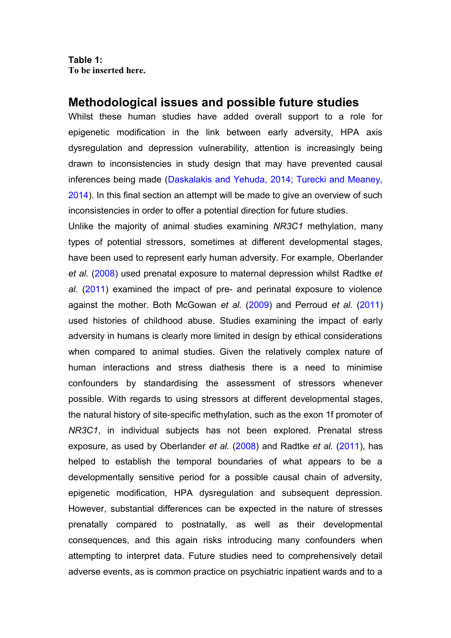**Table 1: To be inserted here.**

#### **Methodological issues and possible future studies**

Whilst these human studies have added overall support to a role for epigenetic modification in the link between early adversity, HPA axis dysregulation and depression vulnerability, attention is increasingly being drawn to inconsistencies in study design that may have prevented causal inferences being made (Daskalakis and Yehuda, 2014; Turecki and Meaney, 2014). In this final section an attempt will be made to give an overview of such inconsistencies in order to offer a potential direction for future studies.

Unlike the majority of animal studies examining *NR3C1* methylation, many types of potential stressors, sometimes at different developmental stages, have been used to represent early human adversity. For example, Oberlander *et al.* (2008) used prenatal exposure to maternal depression whilst Radtke *et al.* (2011) examined the impact of pre- and perinatal exposure to violence against the mother. Both McGowan *et al.* (2009) and Perroud *et al.* (2011) used histories of childhood abuse. Studies examining the impact of early adversity in humans is clearly more limited in design by ethical considerations when compared to animal studies. Given the relatively complex nature of human interactions and stress diathesis there is a need to minimise confounders by standardising the assessment of stressors whenever possible. With regards to using stressors at different developmental stages, the natural history of site-specific methylation, such as the exon 1f promoter of *NR3C1*, in individual subjects has not been explored. Prenatal stress exposure, as used by Oberlander *et al.* (2008) and Radtke *et al.* (2011), has helped to establish the temporal boundaries of what appears to be a developmentally sensitive period for a possible causal chain of adversity, epigenetic modification, HPA dysregulation and subsequent depression. However, substantial differences can be expected in the nature of stresses prenatally compared to postnatally, as well as their developmental consequences, and this again risks introducing many confounders when attempting to interpret data. Future studies need to comprehensively detail adverse events, as is common practice on psychiatric inpatient wards and to a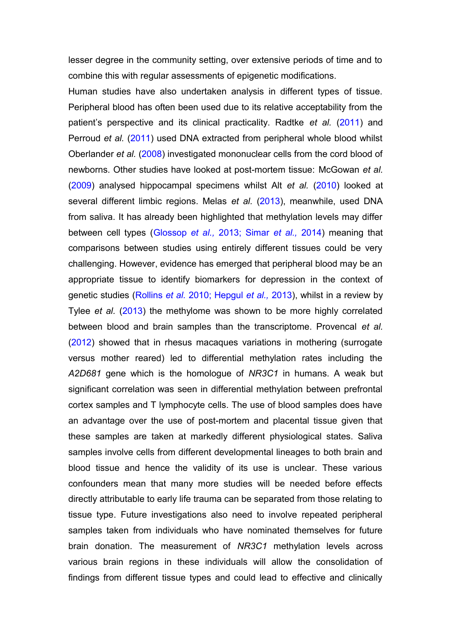lesser degree in the community setting, over extensive periods of time and to combine this with regular assessments of epigenetic modifications.

Human studies have also undertaken analysis in different types of tissue. Peripheral blood has often been used due to its relative acceptability from the patient's perspective and its clinical practicality. Radtke *et al.* (2011) and Perroud *et al.* (2011) used DNA extracted from peripheral whole blood whilst Oberlander *et al.* (2008) investigated mononuclear cells from the cord blood of newborns. Other studies have looked at post-mortem tissue: McGowan *et al.* (2009) analysed hippocampal specimens whilst Alt *et al.* (2010) looked at several different limbic regions. Melas *et al.* (2013), meanwhile, used DNA from saliva. It has already been highlighted that methylation levels may differ between cell types (Glossop *et al.,* 2013; Simar *et al.,* 2014) meaning that comparisons between studies using entirely different tissues could be very challenging. However, evidence has emerged that peripheral blood may be an appropriate tissue to identify biomarkers for depression in the context of genetic studies (Rollins *et al.* 2010; Hepgul *et al.,* 2013), whilst in a review by Tylee *et al.* (2013) the methylome was shown to be more highly correlated between blood and brain samples than the transcriptome. Provencal *et al.* (2012) showed that in rhesus macaques variations in mothering (surrogate versus mother reared) led to differential methylation rates including the *A2D681* gene which is the homologue of *NR3C1* in humans. A weak but significant correlation was seen in differential methylation between prefrontal cortex samples and T lymphocyte cells. The use of blood samples does have an advantage over the use of post-mortem and placental tissue given that these samples are taken at markedly different physiological states. Saliva samples involve cells from different developmental lineages to both brain and blood tissue and hence the validity of its use is unclear. These various confounders mean that many more studies will be needed before effects directly attributable to early life trauma can be separated from those relating to tissue type. Future investigations also need to involve repeated peripheral samples taken from individuals who have nominated themselves for future brain donation. The measurement of *NR3C1* methylation levels across various brain regions in these individuals will allow the consolidation of findings from different tissue types and could lead to effective and clinically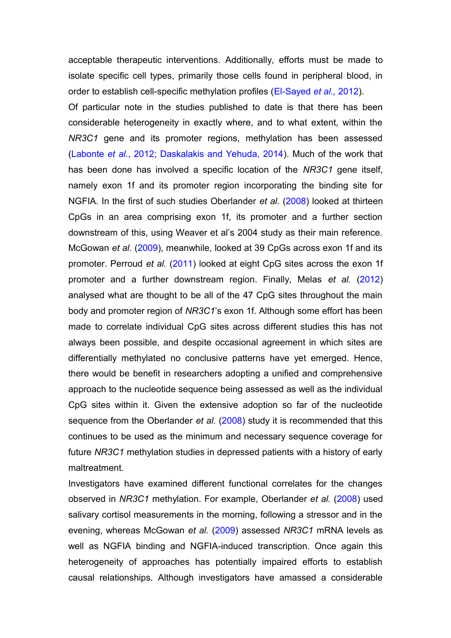acceptable therapeutic interventions. Additionally, efforts must be made to isolate specific cell types, primarily those cells found in peripheral blood, in order to establish cell-specific methylation profiles (El-Sayed *et al.,* 2012).

Of particular note in the studies published to date is that there has been considerable heterogeneity in exactly where, and to what extent, within the *NR3C1* gene and its promoter regions, methylation has been assessed (Labonte *et al.*, 2012; Daskalakis and Yehuda, 2014). Much of the work that has been done has involved a specific location of the *NR3C1* gene itself, namely exon 1f and its promoter region incorporating the binding site for NGFIA. In the first of such studies Oberlander *et al.* (2008) looked at thirteen CpGs in an area comprising exon 1f, its promoter and a further section downstream of this, using Weaver et al's 2004 study as their main reference. McGowan *et al.* (2009), meanwhile, looked at 39 CpGs across exon 1f and its promoter. Perroud *et al.* (2011) looked at eight CpG sites across the exon 1f promoter and a further downstream region. Finally, Melas *et al.* (2012) analysed what are thought to be all of the 47 CpG sites throughout the main body and promoter region of *NR3C1*'s exon 1f. Although some effort has been made to correlate individual CpG sites across different studies this has not always been possible, and despite occasional agreement in which sites are differentially methylated no conclusive patterns have yet emerged. Hence, there would be benefit in researchers adopting a unified and comprehensive approach to the nucleotide sequence being assessed as well as the individual CpG sites within it. Given the extensive adoption so far of the nucleotide sequence from the Oberlander *et al.* (2008) study it is recommended that this continues to be used as the minimum and necessary sequence coverage for future *NR3C1* methylation studies in depressed patients with a history of early maltreatment.

Investigators have examined different functional correlates for the changes observed in *NR3C1* methylation. For example, Oberlander *et al.* (2008) used salivary cortisol measurements in the morning, following a stressor and in the evening, whereas McGowan *et al.* (2009) assessed *NR3C1* mRNA levels as well as NGFIA binding and NGFIA-induced transcription. Once again this heterogeneity of approaches has potentially impaired efforts to establish causal relationships. Although investigators have amassed a considerable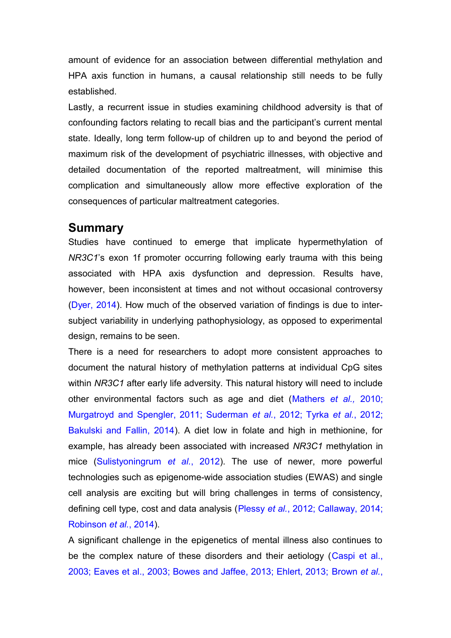amount of evidence for an association between differential methylation and HPA axis function in humans, a causal relationship still needs to be fully established.

Lastly, a recurrent issue in studies examining childhood adversity is that of confounding factors relating to recall bias and the participant's current mental state. Ideally, long term follow-up of children up to and beyond the period of maximum risk of the development of psychiatric illnesses, with objective and detailed documentation of the reported maltreatment, will minimise this complication and simultaneously allow more effective exploration of the consequences of particular maltreatment categories.

#### **Summary**

Studies have continued to emerge that implicate hypermethylation of *NR3C1*'s exon 1f promoter occurring following early trauma with this being associated with HPA axis dysfunction and depression. Results have, however, been inconsistent at times and not without occasional controversy (Dyer, 2014). How much of the observed variation of findings is due to intersubject variability in underlying pathophysiology, as opposed to experimental design, remains to be seen.

There is a need for researchers to adopt more consistent approaches to document the natural history of methylation patterns at individual CpG sites within *NR3C1* after early life adversity. This natural history will need to include other environmental factors such as age and diet (Mathers *et al.,* 2010; Murgatroyd and Spengler, 2011; Suderman *et al.*, 2012; Tyrka *et al.*, 2012; Bakulski and Fallin, 2014). A diet low in folate and high in methionine, for example, has already been associated with increased *NR3C1* methylation in mice (Sulistyoningrum *et al.*, 2012). The use of newer, more powerful technologies such as epigenome-wide association studies (EWAS) and single cell analysis are exciting but will bring challenges in terms of consistency, defining cell type, cost and data analysis (Plessy *et al.*, 2012; Callaway, 2014; Robinson *et al.*, 2014).

A significant challenge in the epigenetics of mental illness also continues to be the complex nature of these disorders and their aetiology (Caspi et al., 2003; Eaves et al., 2003; Bowes and Jaffee, 2013; Ehlert, 2013; Brown *et al.*,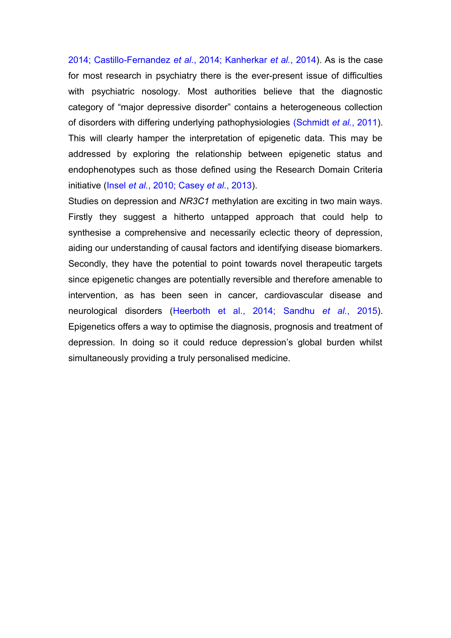2014; Castillo-Fernandez *et al.*, 2014; Kanherkar *et al.*, 2014). As is the case for most research in psychiatry there is the ever-present issue of difficulties with psychiatric nosology. Most authorities believe that the diagnostic category of "major depressive disorder" contains a heterogeneous collection of disorders with differing underlying pathophysiologies (Schmidt *et al.*, 2011). This will clearly hamper the interpretation of epigenetic data. This may be addressed by exploring the relationship between epigenetic status and endophenotypes such as those defined using the Research Domain Criteria initiative (Insel *et al.*, 2010; Casey *et al.*, 2013).

Studies on depression and *NR3C1* methylation are exciting in two main ways. Firstly they suggest a hitherto untapped approach that could help to synthesise a comprehensive and necessarily eclectic theory of depression, aiding our understanding of causal factors and identifying disease biomarkers. Secondly, they have the potential to point towards novel therapeutic targets since epigenetic changes are potentially reversible and therefore amenable to intervention, as has been seen in cancer, cardiovascular disease and neurological disorders (Heerboth et al., 2014; Sandhu *et al.*, 2015). Epigenetics offers a way to optimise the diagnosis, prognosis and treatment of depression. In doing so it could reduce depression's global burden whilst simultaneously providing a truly personalised medicine.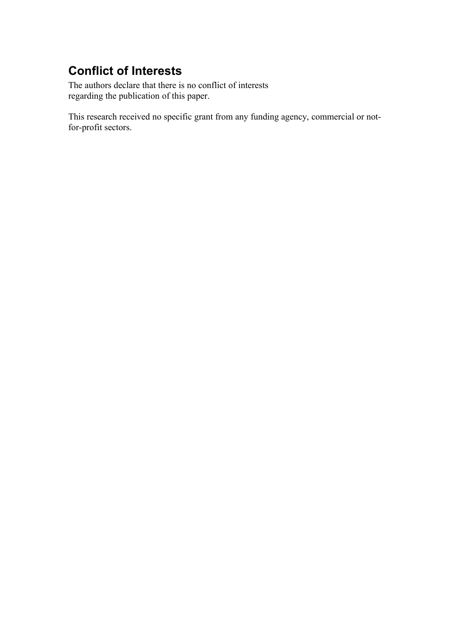## **Conflict of Interests**

The authors declare that there is no conflict of interests regarding the publication of this paper.

This research received no specific grant from any funding agency, commercial or notfor-profit sectors.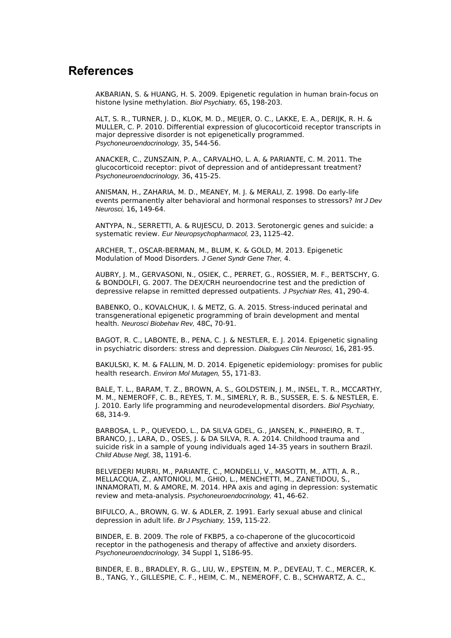#### **References**

AKBARIAN, S. & HUANG, H. S. 2009. Epigenetic regulation in human brain-focus on histone lysine methylation. Biol Psychiatry, 65**,** 198-203.

ALT, S. R., TURNER, J. D., KLOK, M. D., MEIJER, O. C., LAKKE, E. A., DERIJK, R. H. & MULLER, C. P. 2010. Differential expression of glucocorticoid receptor transcripts in major depressive disorder is not epigenetically programmed. Psychoneuroendocrinology, 35**,** 544-56.

ANACKER, C., ZUNSZAIN, P. A., CARVALHO, L. A. & PARIANTE, C. M. 2011. The glucocorticoid receptor: pivot of depression and of antidepressant treatment? Psychoneuroendocrinology, 36**,** 415-25.

ANISMAN, H., ZAHARIA, M. D., MEANEY, M. J. & MERALI, Z. 1998. Do early-life events permanently alter behavioral and hormonal responses to stressors? Int J Dev Neurosci, 16**,** 149-64.

ANTYPA, N., SERRETTI, A. & RUJESCU, D. 2013. Serotonergic genes and suicide: a systematic review. Eur Neuropsychopharmacol, 23**,** 1125-42.

ARCHER, T., OSCAR-BERMAN, M., BLUM, K. & GOLD, M. 2013. Epigenetic Modulation of Mood Disorders. J Genet Syndr Gene Ther, 4.

AUBRY, J. M., GERVASONI, N., OSIEK, C., PERRET, G., ROSSIER, M. F., BERTSCHY, G. & BONDOLFI, G. 2007. The DEX/CRH neuroendocrine test and the prediction of depressive relapse in remitted depressed outpatients. J Psychiatr Res, 41**,** 290-4.

BABENKO, O., KOVALCHUK, I. & METZ, G. A. 2015. Stress-induced perinatal and transgenerational epigenetic programming of brain development and mental health. Neurosci Biobehav Rev, 48C**,** 70-91.

BAGOT, R. C., LABONTE, B., PENA, C. J. & NESTLER, E. J. 2014. Epigenetic signaling in psychiatric disorders: stress and depression. Dialogues Clin Neurosci, 16**,** 281-95.

BAKULSKI, K. M. & FALLIN, M. D. 2014. Epigenetic epidemiology: promises for public health research. Environ Mol Mutagen, 55**,** 171-83.

BALE, T. L., BARAM, T. Z., BROWN, A. S., GOLDSTEIN, J. M., INSEL, T. R., MCCARTHY, M. M., NEMEROFF, C. B., REYES, T. M., SIMERLY, R. B., SUSSER, E. S. & NESTLER, E. J. 2010. Early life programming and neurodevelopmental disorders. Biol Psychiatry, 68**,** 314-9.

BARBOSA, L. P., QUEVEDO, L., DA SILVA GDEL, G., JANSEN, K., PINHEIRO, R. T., BRANCO, J., LARA, D., OSES, J. & DA SILVA, R. A. 2014. Childhood trauma and suicide risk in a sample of young individuals aged 14-35 years in southern Brazil. Child Abuse Negl, 38**,** 1191-6.

BELVEDERI MURRI, M., PARIANTE, C., MONDELLI, V., MASOTTI, M., ATTI, A. R., MELLACQUA, Z., ANTONIOLI, M., GHIO, L., MENCHETTI, M., ZANETIDOU, S., INNAMORATI, M. & AMORE, M. 2014. HPA axis and aging in depression: systematic review and meta-analysis. Psychoneuroendocrinology, 41**,** 46-62.

BIFULCO, A., BROWN, G. W. & ADLER, Z. 1991. Early sexual abuse and clinical depression in adult life. Br J Psychiatry, 159**,** 115-22.

BINDER, E. B. 2009. The role of FKBP5, a co-chaperone of the glucocorticoid receptor in the pathogenesis and therapy of affective and anxiety disorders. Psychoneuroendocrinology, 34 Suppl 1**,** S186-95.

BINDER, E. B., BRADLEY, R. G., LIU, W., EPSTEIN, M. P., DEVEAU, T. C., MERCER, K. B., TANG, Y., GILLESPIE, C. F., HEIM, C. M., NEMEROFF, C. B., SCHWARTZ, A. C.,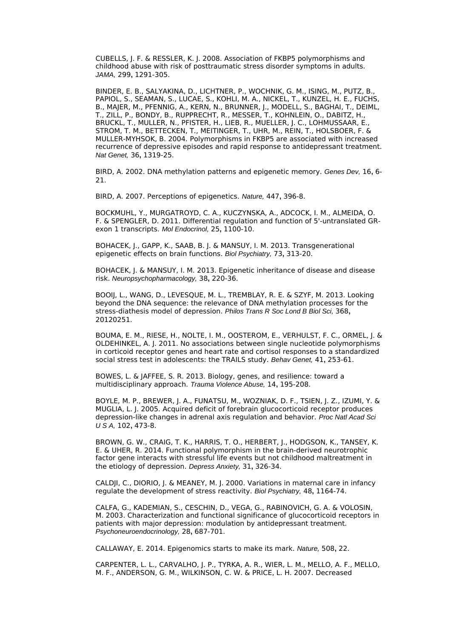CUBELLS, J. F. & RESSLER, K. J. 2008. Association of FKBP5 polymorphisms and childhood abuse with risk of posttraumatic stress disorder symptoms in adults. JAMA, 299**,** 1291-305.

BINDER, E. B., SALYAKINA, D., LICHTNER, P., WOCHNIK, G. M., ISING, M., PUTZ, B., PAPIOL, S., SEAMAN, S., LUCAE, S., KOHLI, M. A., NICKEL, T., KUNZEL, H. E., FUCHS, B., MAJER, M., PFENNIG, A., KERN, N., BRUNNER, J., MODELL, S., BAGHAI, T., DEIML, T., ZILL, P., BONDY, B., RUPPRECHT, R., MESSER, T., KOHNLEIN, O., DABITZ, H., BRUCKL, T., MULLER, N., PFISTER, H., LIEB, R., MUELLER, J. C., LOHMUSSAAR, E., STROM, T. M., BETTECKEN, T., MEITINGER, T., UHR, M., REIN, T., HOLSBOER, F. & MULLER-MYHSOK, B. 2004. Polymorphisms in FKBP5 are associated with increased recurrence of depressive episodes and rapid response to antidepressant treatment. Nat Genet, 36**,** 1319-25.

BIRD, A. 2002. DNA methylation patterns and epigenetic memory. Genes Dev, 16**,** 6- 21.

BIRD, A. 2007. Perceptions of epigenetics. Nature, 447**,** 396-8.

BOCKMUHL, Y., MURGATROYD, C. A., KUCZYNSKA, A., ADCOCK, I. M., ALMEIDA, O. F. & SPENGLER, D. 2011. Differential regulation and function of 5'-untranslated GRexon 1 transcripts. Mol Endocrinol, 25**,** 1100-10.

BOHACEK, J., GAPP, K., SAAB, B. J. & MANSUY, I. M. 2013. Transgenerational epigenetic effects on brain functions. Biol Psychiatry, 73**,** 313-20.

BOHACEK, J. & MANSUY, I. M. 2013. Epigenetic inheritance of disease and disease risk. Neuropsychopharmacology, 38**,** 220-36.

BOOIJ, L., WANG, D., LEVESQUE, M. L., TREMBLAY, R. E. & SZYF, M. 2013. Looking beyond the DNA sequence: the relevance of DNA methylation processes for the stress-diathesis model of depression. Philos Trans R Soc Lond B Biol Sci, 368**,** 20120251.

BOUMA, E. M., RIESE, H., NOLTE, I. M., OOSTEROM, E., VERHULST, F. C., ORMEL, J. & OLDEHINKEL, A. J. 2011. No associations between single nucleotide polymorphisms in corticoid receptor genes and heart rate and cortisol responses to a standardized social stress test in adolescents: the TRAILS study. Behav Genet, 41**,** 253-61.

BOWES, L. & JAFFEE, S. R. 2013. Biology, genes, and resilience: toward a multidisciplinary approach. Trauma Violence Abuse, 14**,** 195-208.

BOYLE, M. P., BREWER, J. A., FUNATSU, M., WOZNIAK, D. F., TSIEN, J. Z., IZUMI, Y. & MUGLIA, L. J. 2005. Acquired deficit of forebrain glucocorticoid receptor produces depression-like changes in adrenal axis regulation and behavior. Proc Natl Acad Sci U S A, 102**,** 473-8.

BROWN, G. W., CRAIG, T. K., HARRIS, T. O., HERBERT, J., HODGSON, K., TANSEY, K. E. & UHER, R. 2014. Functional polymorphism in the brain-derived neurotrophic factor gene interacts with stressful life events but not childhood maltreatment in the etiology of depression. Depress Anxiety, 31**,** 326-34.

CALDJI, C., DIORIO, J. & MEANEY, M. J. 2000. Variations in maternal care in infancy regulate the development of stress reactivity. Biol Psychiatry, 48**,** 1164-74.

CALFA, G., KADEMIAN, S., CESCHIN, D., VEGA, G., RABINOVICH, G. A. & VOLOSIN, M. 2003. Characterization and functional significance of glucocorticoid receptors in patients with major depression: modulation by antidepressant treatment. Psychoneuroendocrinology, 28**,** 687-701.

CALLAWAY, E. 2014. Epigenomics starts to make its mark. Nature, 508**,** 22.

CARPENTER, L. L., CARVALHO, J. P., TYRKA, A. R., WIER, L. M., MELLO, A. F., MELLO, M. F., ANDERSON, G. M., WILKINSON, C. W. & PRICE, L. H. 2007. Decreased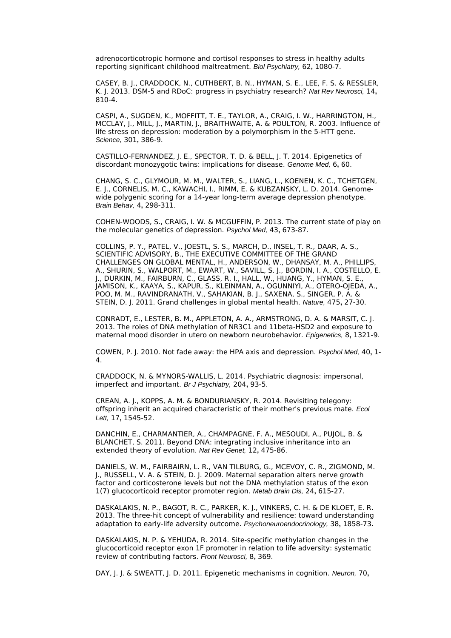adrenocorticotropic hormone and cortisol responses to stress in healthy adults reporting significant childhood maltreatment. Biol Psychiatry, 62**,** 1080-7.

CASEY, B. J., CRADDOCK, N., CUTHBERT, B. N., HYMAN, S. E., LEE, F. S. & RESSLER, K. J. 2013. DSM-5 and RDoC: progress in psychiatry research? Nat Rev Neurosci, 14**,** 810-4.

CASPI, A., SUGDEN, K., MOFFITT, T. E., TAYLOR, A., CRAIG, I. W., HARRINGTON, H., MCCLAY, J., MILL, J., MARTIN, J., BRAITHWAITE, A. & POULTON, R. 2003. Influence of life stress on depression: moderation by a polymorphism in the 5-HTT gene. Science, 301**,** 386-9.

CASTILLO-FERNANDEZ, J. E., SPECTOR, T. D. & BELL, J. T. 2014. Epigenetics of discordant monozygotic twins: implications for disease. Genome Med, 6**,** 60.

CHANG, S. C., GLYMOUR, M. M., WALTER, S., LIANG, L., KOENEN, K. C., TCHETGEN, E. J., CORNELIS, M. C., KAWACHI, I., RIMM, E. & KUBZANSKY, L. D. 2014. Genomewide polygenic scoring for a 14-year long-term average depression phenotype. Brain Behav, 4**,** 298-311.

COHEN-WOODS, S., CRAIG, I. W. & MCGUFFIN, P. 2013. The current state of play on the molecular genetics of depression. Psychol Med, 43**,** 673-87.

COLLINS, P. Y., PATEL, V., JOESTL, S. S., MARCH, D., INSEL, T. R., DAAR, A. S., SCIENTIFIC ADVISORY, B., THE EXECUTIVE COMMITTEE OF THE GRAND CHALLENGES ON GLOBAL MENTAL, H., ANDERSON, W., DHANSAY, M. A., PHILLIPS, A., SHURIN, S., WALPORT, M., EWART, W., SAVILL, S. J., BORDIN, I. A., COSTELLO, E. J., DURKIN, M., FAIRBURN, C., GLASS, R. I., HALL, W., HUANG, Y., HYMAN, S. E., JAMISON, K., KAAYA, S., KAPUR, S., KLEINMAN, A., OGUNNIYI, A., OTERO-OJEDA, A., POO, M. M., RAVINDRANATH, V., SAHAKIAN, B. J., SAXENA, S., SINGER, P. A. & STEIN, D. J. 2011. Grand challenges in global mental health. Nature, 475**,** 27-30.

CONRADT, E., LESTER, B. M., APPLETON, A. A., ARMSTRONG, D. A. & MARSIT, C. J. 2013. The roles of DNA methylation of NR3C1 and 11beta-HSD2 and exposure to maternal mood disorder in utero on newborn neurobehavior. Epigenetics, 8**,** 1321-9.

COWEN, P. J. 2010. Not fade away: the HPA axis and depression. Psychol Med, 40**,** 1- 4.

CRADDOCK, N. & MYNORS-WALLIS, L. 2014. Psychiatric diagnosis: impersonal, imperfect and important. Br J Psychiatry, 204**,** 93-5.

CREAN, A. J., KOPPS, A. M. & BONDURIANSKY, R. 2014. Revisiting telegony: offspring inherit an acquired characteristic of their mother's previous mate. Ecol Lett, 17**,** 1545-52.

DANCHIN, E., CHARMANTIER, A., CHAMPAGNE, F. A., MESOUDI, A., PUJOL, B. & BLANCHET, S. 2011. Beyond DNA: integrating inclusive inheritance into an extended theory of evolution. Nat Rev Genet, 12**,** 475-86.

DANIELS, W. M., FAIRBAIRN, L. R., VAN TILBURG, G., MCEVOY, C. R., ZIGMOND, M. J., RUSSELL, V. A. & STEIN, D. J. 2009. Maternal separation alters nerve growth factor and corticosterone levels but not the DNA methylation status of the exon 1(7) glucocorticoid receptor promoter region. Metab Brain Dis, 24**,** 615-27.

DASKALAKIS, N. P., BAGOT, R. C., PARKER, K. J., VINKERS, C. H. & DE KLOET, E. R. 2013. The three-hit concept of vulnerability and resilience: toward understanding adaptation to early-life adversity outcome. Psychoneuroendocrinology, 38**,** 1858-73.

DASKALAKIS, N. P. & YEHUDA, R. 2014. Site-specific methylation changes in the glucocorticoid receptor exon 1F promoter in relation to life adversity: systematic review of contributing factors. Front Neurosci, 8**,** 369.

DAY, J. J. & SWEATT, J. D. 2011. Epigenetic mechanisms in cognition. Neuron, 70**,**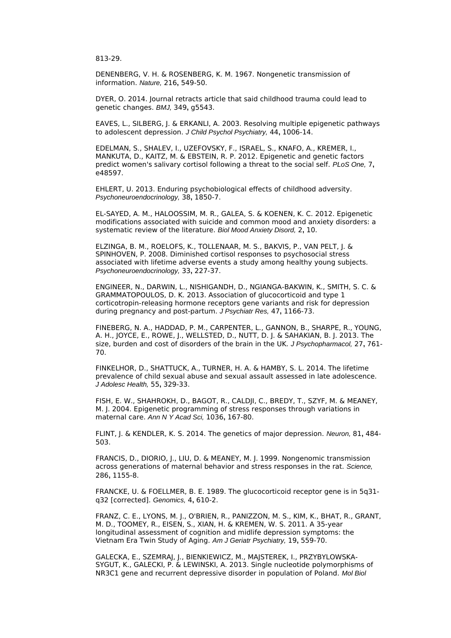#### 813-29.

DENENBERG, V. H. & ROSENBERG, K. M. 1967. Nongenetic transmission of information. Nature, 216**,** 549-50.

DYER, O. 2014. Journal retracts article that said childhood trauma could lead to genetic changes. BMJ, 349**,** g5543.

EAVES, L., SILBERG, J. & ERKANLI, A. 2003. Resolving multiple epigenetic pathways to adolescent depression. J Child Psychol Psychiatry, 44**,** 1006-14.

EDELMAN, S., SHALEV, I., UZEFOVSKY, F., ISRAEL, S., KNAFO, A., KREMER, I., MANKUTA, D., KAITZ, M. & EBSTEIN, R. P. 2012. Epigenetic and genetic factors predict women's salivary cortisol following a threat to the social self. PLoS One, 7**,** e48597.

EHLERT, U. 2013. Enduring psychobiological effects of childhood adversity. Psychoneuroendocrinology, 38**,** 1850-7.

EL-SAYED, A. M., HALOOSSIM, M. R., GALEA, S. & KOENEN, K. C. 2012. Epigenetic modifications associated with suicide and common mood and anxiety disorders: a systematic review of the literature. Biol Mood Anxiety Disord, 2**,** 10.

ELZINGA, B. M., ROELOFS, K., TOLLENAAR, M. S., BAKVIS, P., VAN PELT, J. & SPINHOVEN, P. 2008. Diminished cortisol responses to psychosocial stress associated with lifetime adverse events a study among healthy young subjects. Psychoneuroendocrinology, 33**,** 227-37.

ENGINEER, N., DARWIN, L., NISHIGANDH, D., NGIANGA-BAKWIN, K., SMITH, S. C. & GRAMMATOPOULOS, D. K. 2013. Association of glucocorticoid and type 1 corticotropin-releasing hormone receptors gene variants and risk for depression during pregnancy and post-partum. J Psychiatr Res, 47**,** 1166-73.

FINEBERG, N. A., HADDAD, P. M., CARPENTER, L., GANNON, B., SHARPE, R., YOUNG, A. H., JOYCE, E., ROWE, J., WELLSTED, D., NUTT, D. J. & SAHAKIAN, B. J. 2013. The size, burden and cost of disorders of the brain in the UK. J Psychopharmacol, 27**,** 761- 70.

FINKELHOR, D., SHATTUCK, A., TURNER, H. A. & HAMBY, S. L. 2014. The lifetime prevalence of child sexual abuse and sexual assault assessed in late adolescence. J Adolesc Health, 55**,** 329-33.

FISH, E. W., SHAHROKH, D., BAGOT, R., CALDJI, C., BREDY, T., SZYF, M. & MEANEY, M. J. 2004. Epigenetic programming of stress responses through variations in maternal care. Ann N Y Acad Sci, 1036**,** 167-80.

FLINT, J. & KENDLER, K. S. 2014. The genetics of major depression. Neuron, 81**,** 484- 503.

FRANCIS, D., DIORIO, J., LIU, D. & MEANEY, M. J. 1999. Nongenomic transmission across generations of maternal behavior and stress responses in the rat. Science, 286**,** 1155-8.

FRANCKE, U. & FOELLMER, B. E. 1989. The glucocorticoid receptor gene is in 5q31 q32 [corrected]. Genomics, 4**,** 610-2.

FRANZ, C. E., LYONS, M. J., O'BRIEN, R., PANIZZON, M. S., KIM, K., BHAT, R., GRANT, M. D., TOOMEY, R., EISEN, S., XIAN, H. & KREMEN, W. S. 2011. A 35-year longitudinal assessment of cognition and midlife depression symptoms: the Vietnam Era Twin Study of Aging. Am J Geriatr Psychiatry, 19**,** 559-70.

GALECKA, E., SZEMRAJ, J., BIENKIEWICZ, M., MAJSTEREK, I., PRZYBYLOWSKA-SYGUT, K., GALECKI, P. & LEWINSKI, A. 2013. Single nucleotide polymorphisms of NR3C1 gene and recurrent depressive disorder in population of Poland. Mol Biol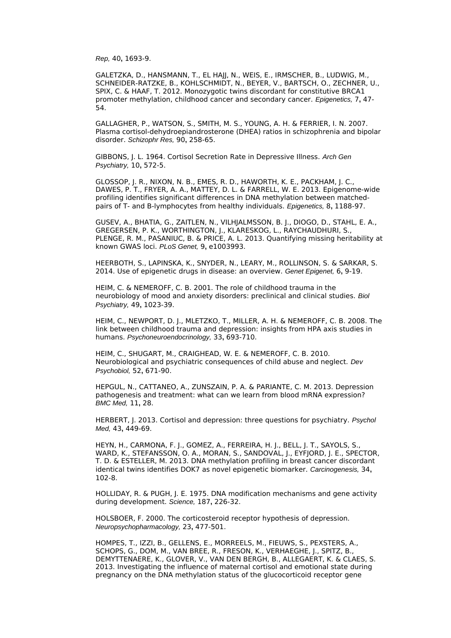Rep, 40**,** 1693-9.

GALETZKA, D., HANSMANN, T., EL HAJJ, N., WEIS, E., IRMSCHER, B., LUDWIG, M., SCHNEIDER-RATZKE, B., KOHLSCHMIDT, N., BEYER, V., BARTSCH, O., ZECHNER, U., SPIX, C. & HAAF, T. 2012. Monozygotic twins discordant for constitutive BRCA1 promoter methylation, childhood cancer and secondary cancer. Epigenetics, 7**,** 47- 54.

GALLAGHER, P., WATSON, S., SMITH, M. S., YOUNG, A. H. & FERRIER, I. N. 2007. Plasma cortisol-dehydroepiandrosterone (DHEA) ratios in schizophrenia and bipolar disorder. Schizophr Res, 90**,** 258-65.

GIBBONS, J. L. 1964. Cortisol Secretion Rate in Depressive Illness. Arch Gen Psychiatry, 10**,** 572-5.

GLOSSOP, J. R., NIXON, N. B., EMES, R. D., HAWORTH, K. E., PACKHAM, J. C., DAWES, P. T., FRYER, A. A., MATTEY, D. L. & FARRELL, W. E. 2013. Epigenome-wide profiling identifies significant differences in DNA methylation between matchedpairs of T- and B-lymphocytes from healthy individuals. Epigenetics, 8**,** 1188-97.

GUSEV, A., BHATIA, G., ZAITLEN, N., VILHJALMSSON, B. J., DIOGO, D., STAHL, E. A., GREGERSEN, P. K., WORTHINGTON, J., KLARESKOG, L., RAYCHAUDHURI, S., PLENGE, R. M., PASANIUC, B. & PRICE, A. L. 2013. Quantifying missing heritability at known GWAS loci. PLoS Genet, 9**,** e1003993.

HEERBOTH, S., LAPINSKA, K., SNYDER, N., LEARY, M., ROLLINSON, S. & SARKAR, S. 2014. Use of epigenetic drugs in disease: an overview. Genet Epigenet, 6**,** 9-19.

HEIM, C. & NEMEROFF, C. B. 2001. The role of childhood trauma in the neurobiology of mood and anxiety disorders: preclinical and clinical studies. Biol Psychiatry, 49**,** 1023-39.

HEIM, C., NEWPORT, D. J., MLETZKO, T., MILLER, A. H. & NEMEROFF, C. B. 2008. The link between childhood trauma and depression: insights from HPA axis studies in humans. Psychoneuroendocrinology, 33**,** 693-710.

HEIM, C., SHUGART, M., CRAIGHEAD, W. E. & NEMEROFF, C. B. 2010. Neurobiological and psychiatric consequences of child abuse and neglect. Dev Psychobiol, 52**,** 671-90.

HEPGUL, N., CATTANEO, A., ZUNSZAIN, P. A. & PARIANTE, C. M. 2013. Depression pathogenesis and treatment: what can we learn from blood mRNA expression? BMC Med, 11**,** 28.

HERBERT, J. 2013. Cortisol and depression: three questions for psychiatry. Psychol Med, 43**,** 449-69.

HEYN, H., CARMONA, F. J., GOMEZ, A., FERREIRA, H. J., BELL, J. T., SAYOLS, S., WARD, K., STEFANSSON, O. A., MORAN, S., SANDOVAL, J., EYFJORD, J. E., SPECTOR, T. D. & ESTELLER, M. 2013. DNA methylation profiling in breast cancer discordant identical twins identifies DOK7 as novel epigenetic biomarker. Carcinogenesis, 34**,** 102-8.

HOLLIDAY, R. & PUGH, J. E. 1975. DNA modification mechanisms and gene activity during development. Science, 187**,** 226-32.

HOLSBOER, F. 2000. The corticosteroid receptor hypothesis of depression. Neuropsychopharmacology, 23**,** 477-501.

HOMPES, T., IZZI, B., GELLENS, E., MORREELS, M., FIEUWS, S., PEXSTERS, A., SCHOPS, G., DOM, M., VAN BREE, R., FRESON, K., VERHAEGHE, J., SPITZ, B., DEMYTTENAERE, K., GLOVER, V., VAN DEN BERGH, B., ALLEGAERT, K. & CLAES, S. 2013. Investigating the influence of maternal cortisol and emotional state during pregnancy on the DNA methylation status of the glucocorticoid receptor gene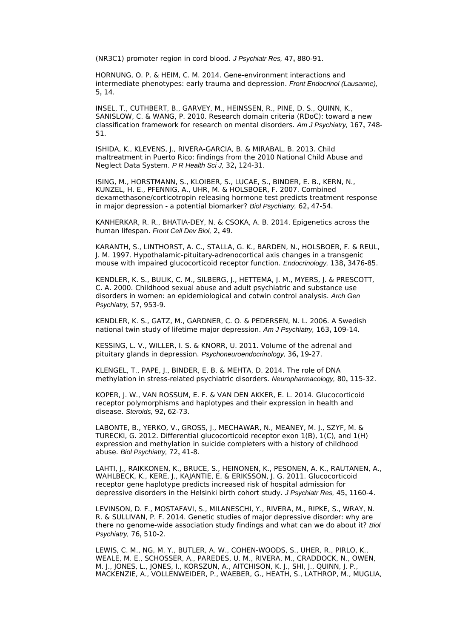(NR3C1) promoter region in cord blood. J Psychiatr Res, 47**,** 880-91.

HORNUNG, O. P. & HEIM, C. M. 2014. Gene-environment interactions and intermediate phenotypes: early trauma and depression. Front Endocrinol (Lausanne), 5**,** 14.

INSEL, T., CUTHBERT, B., GARVEY, M., HEINSSEN, R., PINE, D. S., QUINN, K., SANISLOW, C. & WANG, P. 2010. Research domain criteria (RDoC): toward a new classification framework for research on mental disorders. Am J Psychiatry, 167**,** 748- 51.

ISHIDA, K., KLEVENS, J., RIVERA-GARCIA, B. & MIRABAL, B. 2013. Child maltreatment in Puerto Rico: findings from the 2010 National Child Abuse and Neglect Data System. P R Health Sci J, 32**,** 124-31.

ISING, M., HORSTMANN, S., KLOIBER, S., LUCAE, S., BINDER, E. B., KERN, N., KUNZEL, H. E., PFENNIG, A., UHR, M. & HOLSBOER, F. 2007. Combined dexamethasone/corticotropin releasing hormone test predicts treatment response in major depression - a potential biomarker? Biol Psychiatry, 62**,** 47-54.

KANHERKAR, R. R., BHATIA-DEY, N. & CSOKA, A. B. 2014. Epigenetics across the human lifespan. Front Cell Dev Biol, 2**,** 49.

KARANTH, S., LINTHORST, A. C., STALLA, G. K., BARDEN, N., HOLSBOER, F. & REUL, J. M. 1997. Hypothalamic-pituitary-adrenocortical axis changes in a transgenic mouse with impaired glucocorticoid receptor function. Endocrinology, 138**,** 3476-85.

KENDLER, K. S., BULIK, C. M., SILBERG, J., HETTEMA, J. M., MYERS, J. & PRESCOTT, C. A. 2000. Childhood sexual abuse and adult psychiatric and substance use disorders in women: an epidemiological and cotwin control analysis. Arch Gen Psychiatry, 57**,** 953-9.

KENDLER, K. S., GATZ, M., GARDNER, C. O. & PEDERSEN, N. L. 2006. A Swedish national twin study of lifetime major depression. Am J Psychiatry, 163**,** 109-14.

KESSING, L. V., WILLER, I. S. & KNORR, U. 2011. Volume of the adrenal and pituitary glands in depression. Psychoneuroendocrinology, 36**,** 19-27.

KLENGEL, T., PAPE, J., BINDER, E. B. & MEHTA, D. 2014. The role of DNA methylation in stress-related psychiatric disorders. Neuropharmacology, 80**,** 115-32.

KOPER, J. W., VAN ROSSUM, E. F. & VAN DEN AKKER, E. L. 2014. Glucocorticoid receptor polymorphisms and haplotypes and their expression in health and disease. Steroids, 92**,** 62-73.

LABONTE, B., YERKO, V., GROSS, J., MECHAWAR, N., MEANEY, M. J., SZYF, M. & TURECKI, G. 2012. Differential glucocorticoid receptor exon 1(B), 1(C), and 1(H) expression and methylation in suicide completers with a history of childhood abuse. Biol Psychiatry, 72**,** 41-8.

LAHTI, J., RAIKKONEN, K., BRUCE, S., HEINONEN, K., PESONEN, A. K., RAUTANEN, A., WAHLBECK, K., KERE, J., KAJANTIE, E. & ERIKSSON, J. G. 2011. Glucocorticoid receptor gene haplotype predicts increased risk of hospital admission for depressive disorders in the Helsinki birth cohort study. J Psychiatr Res, 45**,** 1160-4.

LEVINSON, D. F., MOSTAFAVI, S., MILANESCHI, Y., RIVERA, M., RIPKE, S., WRAY, N. R. & SULLIVAN, P. F. 2014. Genetic studies of major depressive disorder: why are there no genome-wide association study findings and what can we do about it? Biol Psychiatry, 76**,** 510-2.

LEWIS, C. M., NG, M. Y., BUTLER, A. W., COHEN-WOODS, S., UHER, R., PIRLO, K., WEALE, M. E., SCHOSSER, A., PAREDES, U. M., RIVERA, M., CRADDOCK, N., OWEN, M. J., JONES, L., JONES, I., KORSZUN, A., AITCHISON, K. J., SHI, J., QUINN, J. P., MACKENZIE, A., VOLLENWEIDER, P., WAEBER, G., HEATH, S., LATHROP, M., MUGLIA,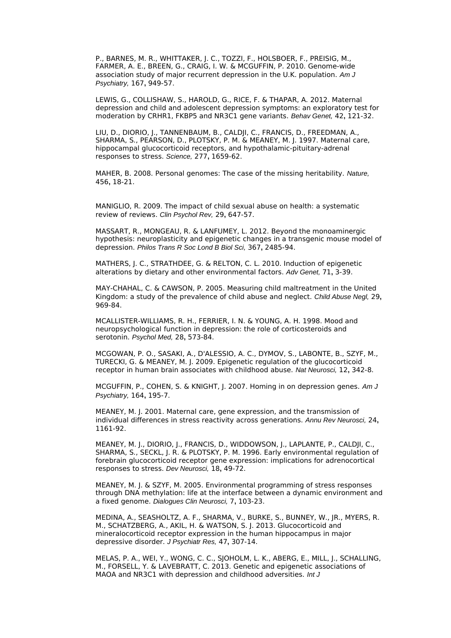P., BARNES, M. R., WHITTAKER, J. C., TOZZI, F., HOLSBOER, F., PREISIG, M., FARMER, A. E., BREEN, G., CRAIG, I. W. & MCGUFFIN, P. 2010. Genome-wide association study of major recurrent depression in the U.K. population. Am J Psychiatry, 167**,** 949-57.

LEWIS, G., COLLISHAW, S., HAROLD, G., RICE, F. & THAPAR, A. 2012. Maternal depression and child and adolescent depression symptoms: an exploratory test for moderation by CRHR1, FKBP5 and NR3C1 gene variants. Behav Genet, 42**,** 121-32.

LIU, D., DIORIO, J., TANNENBAUM, B., CALDJI, C., FRANCIS, D., FREEDMAN, A., SHARMA, S., PEARSON, D., PLOTSKY, P. M. & MEANEY, M. J. 1997. Maternal care, hippocampal glucocorticoid receptors, and hypothalamic-pituitary-adrenal responses to stress. Science, 277**,** 1659-62.

MAHER, B. 2008. Personal genomes: The case of the missing heritability. Nature, 456**,** 18-21.

MANIGLIO, R. 2009. The impact of child sexual abuse on health: a systematic review of reviews. Clin Psychol Rev, 29**,** 647-57.

MASSART, R., MONGEAU, R. & LANFUMEY, L. 2012. Beyond the monoaminergic hypothesis: neuroplasticity and epigenetic changes in a transgenic mouse model of depression. Philos Trans R Soc Lond B Biol Sci, 367**,** 2485-94.

MATHERS, J. C., STRATHDEE, G. & RELTON, C. L. 2010. Induction of epigenetic alterations by dietary and other environmental factors. Adv Genet, 71**,** 3-39.

MAY-CHAHAL, C. & CAWSON, P. 2005. Measuring child maltreatment in the United Kingdom: a study of the prevalence of child abuse and neglect. Child Abuse Negl, 29**,** 969-84.

MCALLISTER-WILLIAMS, R. H., FERRIER, I. N. & YOUNG, A. H. 1998. Mood and neuropsychological function in depression: the role of corticosteroids and serotonin. Psychol Med, 28**,** 573-84.

MCGOWAN, P. O., SASAKI, A., D'ALESSIO, A. C., DYMOV, S., LABONTE, B., SZYF, M., TURECKI, G. & MEANEY, M. J. 2009. Epigenetic regulation of the glucocorticoid receptor in human brain associates with childhood abuse. Nat Neurosci, 12**,** 342-8.

MCGUFFIN, P., COHEN, S. & KNIGHT, J. 2007. Homing in on depression genes. Am J Psychiatry, 164**,** 195-7.

MEANEY, M. J. 2001. Maternal care, gene expression, and the transmission of individual differences in stress reactivity across generations. Annu Rev Neurosci, 24**,** 1161-92.

MEANEY, M. J., DIORIO, J., FRANCIS, D., WIDDOWSON, J., LAPLANTE, P., CALDJI, C., SHARMA, S., SECKL, J. R. & PLOTSKY, P. M. 1996. Early environmental regulation of forebrain glucocorticoid receptor gene expression: implications for adrenocortical responses to stress. Dev Neurosci, 18**,** 49-72.

MEANEY, M. J. & SZYF, M. 2005. Environmental programming of stress responses through DNA methylation: life at the interface between a dynamic environment and a fixed genome. Dialogues Clin Neurosci, 7**,** 103-23.

MEDINA, A., SEASHOLTZ, A. F., SHARMA, V., BURKE, S., BUNNEY, W., JR., MYERS, R. M., SCHATZBERG, A., AKIL, H. & WATSON, S. J. 2013. Glucocorticoid and mineralocorticoid receptor expression in the human hippocampus in major depressive disorder. J Psychiatr Res, 47**,** 307-14.

MELAS, P. A., WEI, Y., WONG, C. C., SJOHOLM, L. K., ABERG, E., MILL, J., SCHALLING, M., FORSELL, Y. & LAVEBRATT, C. 2013. Genetic and epigenetic associations of MAOA and NR3C1 with depression and childhood adversities. Int J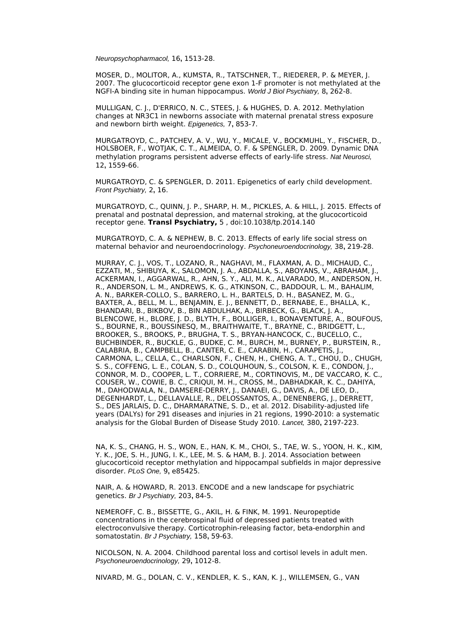Neuropsychopharmacol, 16**,** 1513-28.

MOSER, D., MOLITOR, A., KUMSTA, R., TATSCHNER, T., RIEDERER, P. & MEYER, J. 2007. The glucocorticoid receptor gene exon 1-F promoter is not methylated at the NGFI-A binding site in human hippocampus. World J Biol Psychiatry, 8**,** 262-8.

MULLIGAN, C. J., D'ERRICO, N. C., STEES, J. & HUGHES, D. A. 2012. Methylation changes at NR3C1 in newborns associate with maternal prenatal stress exposure and newborn birth weight. Epigenetics, 7**,** 853-7.

MURGATROYD, C., PATCHEV, A. V., WU, Y., MICALE, V., BOCKMUHL, Y., FISCHER, D., HOLSBOER, F., WOTJAK, C. T., ALMEIDA, O. F. & SPENGLER, D. 2009. Dynamic DNA methylation programs persistent adverse effects of early-life stress. Nat Neurosci, 12**,** 1559-66.

MURGATROYD, C. & SPENGLER, D. 2011. Epigenetics of early child development. Front Psychiatry, 2**,** 16.

MURGATROYD, C., QUINN, J. P., SHARP, H. M., PICKLES, A. & HILL, J. 2015. Effects of prenatal and postnatal depression, and maternal stroking, at the glucocorticoid receptor gene. **Transl Psychiatry,** 5 , doi:10.1038/tp.2014.140

MURGATROYD, C. A. & NEPHEW, B. C. 2013. Effects of early life social stress on maternal behavior and neuroendocrinology. Psychoneuroendocrinology, 38**,** 219-28.

MURRAY, C. J., VOS, T., LOZANO, R., NAGHAVI, M., FLAXMAN, A. D., MICHAUD, C., EZZATI, M., SHIBUYA, K., SALOMON, J. A., ABDALLA, S., ABOYANS, V., ABRAHAM, J., ACKERMAN, I., AGGARWAL, R., AHN, S. Y., ALI, M. K., ALVARADO, M., ANDERSON, H. R., ANDERSON, L. M., ANDREWS, K. G., ATKINSON, C., BADDOUR, L. M., BAHALIM, A. N., BARKER-COLLO, S., BARRERO, L. H., BARTELS, D. H., BASANEZ, M. G., BAXTER, A., BELL, M. L., BENJAMIN, E. J., BENNETT, D., BERNABE, E., BHALLA, K., BHANDARI, B., BIKBOV, B., BIN ABDULHAK, A., BIRBECK, G., BLACK, J. A., BLENCOWE, H., BLORE, J. D., BLYTH, F., BOLLIGER, I., BONAVENTURE, A., BOUFOUS, S., BOURNE, R., BOUSSINESQ, M., BRAITHWAITE, T., BRAYNE, C., BRIDGETT, L., BROOKER, S., BROOKS, P., BRUGHA, T. S., BRYAN-HANCOCK, C., BUCELLO, C., BUCHBINDER, R., BUCKLE, G., BUDKE, C. M., BURCH, M., BURNEY, P., BURSTEIN, R., CALABRIA, B., CAMPBELL, B., CANTER, C. E., CARABIN, H., CARAPETIS, J., CARMONA, L., CELLA, C., CHARLSON, F., CHEN, H., CHENG, A. T., CHOU, D., CHUGH, S. S., COFFENG, L. E., COLAN, S. D., COLQUHOUN, S., COLSON, K. E., CONDON, J., CONNOR, M. D., COOPER, L. T., CORRIERE, M., CORTINOVIS, M., DE VACCARO, K. C., COUSER, W., COWIE, B. C., CRIQUI, M. H., CROSS, M., DABHADKAR, K. C., DAHIYA, M., DAHODWALA, N., DAMSERE-DERRY, J., DANAEI, G., DAVIS, A., DE LEO, D., DEGENHARDT, L., DELLAVALLE, R., DELOSSANTOS, A., DENENBERG, J., DERRETT, S., DES JARLAIS, D. C., DHARMARATNE, S. D., et al. 2012. Disability-adjusted life years (DALYs) for 291 diseases and injuries in 21 regions, 1990-2010: a systematic analysis for the Global Burden of Disease Study 2010. Lancet, 380**,** 2197-223.

NA, K. S., CHANG, H. S., WON, E., HAN, K. M., CHOI, S., TAE, W. S., YOON, H. K., KIM, Y. K., JOE, S. H., JUNG, I. K., LEE, M. S. & HAM, B. J. 2014. Association between glucocorticoid receptor methylation and hippocampal subfields in major depressive disorder. PLoS One, 9**,** e85425.

NAIR, A. & HOWARD, R. 2013. ENCODE and a new landscape for psychiatric genetics. Br J Psychiatry, 203**,** 84-5.

NEMEROFF, C. B., BISSETTE, G., AKIL, H. & FINK, M. 1991. Neuropeptide concentrations in the cerebrospinal fluid of depressed patients treated with electroconvulsive therapy. Corticotrophin-releasing factor, beta-endorphin and somatostatin. Br J Psychiatry, 158**,** 59-63.

NICOLSON, N. A. 2004. Childhood parental loss and cortisol levels in adult men. Psychoneuroendocrinology, 29**,** 1012-8.

NIVARD, M. G., DOLAN, C. V., KENDLER, K. S., KAN, K. J., WILLEMSEN, G., VAN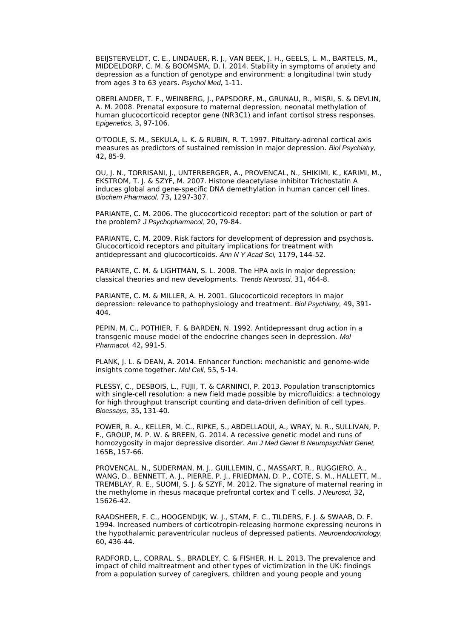BEIJSTERVELDT, C. E., LINDAUER, R. J., VAN BEEK, J. H., GEELS, L. M., BARTELS, M., MIDDELDORP, C. M. & BOOMSMA, D. I. 2014. Stability in symptoms of anxiety and depression as a function of genotype and environment: a longitudinal twin study from ages 3 to 63 years. Psychol Med**,** 1-11.

OBERLANDER, T. F., WEINBERG, J., PAPSDORF, M., GRUNAU, R., MISRI, S. & DEVLIN, A. M. 2008. Prenatal exposure to maternal depression, neonatal methylation of human glucocorticoid receptor gene (NR3C1) and infant cortisol stress responses. Epigenetics, 3**,** 97-106.

O'TOOLE, S. M., SEKULA, L. K. & RUBIN, R. T. 1997. Pituitary-adrenal cortical axis measures as predictors of sustained remission in major depression. Biol Psychiatry, 42**,** 85-9.

OU, J. N., TORRISANI, J., UNTERBERGER, A., PROVENCAL, N., SHIKIMI, K., KARIMI, M., EKSTROM, T. J. & SZYF, M. 2007. Histone deacetylase inhibitor Trichostatin A induces global and gene-specific DNA demethylation in human cancer cell lines. Biochem Pharmacol, 73**,** 1297-307.

PARIANTE, C. M. 2006. The glucocorticoid receptor: part of the solution or part of the problem? J Psychopharmacol, 20**,** 79-84.

PARIANTE, C. M. 2009. Risk factors for development of depression and psychosis. Glucocorticoid receptors and pituitary implications for treatment with antidepressant and glucocorticoids. Ann N Y Acad Sci, 1179**,** 144-52.

PARIANTE, C. M. & LIGHTMAN, S. L. 2008. The HPA axis in major depression: classical theories and new developments. Trends Neurosci, 31**,** 464-8.

PARIANTE, C. M. & MILLER, A. H. 2001. Glucocorticoid receptors in major depression: relevance to pathophysiology and treatment. Biol Psychiatry, 49**,** 391- 404.

PEPIN, M. C., POTHIER, F. & BARDEN, N. 1992. Antidepressant drug action in a transgenic mouse model of the endocrine changes seen in depression. Mol Pharmacol, 42**,** 991-5.

PLANK, J. L. & DEAN, A. 2014. Enhancer function: mechanistic and genome-wide insights come together. Mol Cell, 55**,** 5-14.

PLESSY, C., DESBOIS, L., FUJII, T. & CARNINCI, P. 2013. Population transcriptomics with single-cell resolution: a new field made possible by microfluidics: a technology for high throughput transcript counting and data-driven definition of cell types. Bioessays, 35**,** 131-40.

POWER, R. A., KELLER, M. C., RIPKE, S., ABDELLAOUI, A., WRAY, N. R., SULLIVAN, P. F., GROUP, M. P. W. & BREEN, G. 2014. A recessive genetic model and runs of homozygosity in major depressive disorder. Am J Med Genet B Neuropsychiatr Genet, 165B**,** 157-66.

PROVENCAL, N., SUDERMAN, M. J., GUILLEMIN, C., MASSART, R., RUGGIERO, A., WANG, D., BENNETT, A. J., PIERRE, P. J., FRIEDMAN, D. P., COTE, S. M., HALLETT, M., TREMBLAY, R. E., SUOMI, S. J. & SZYF, M. 2012. The signature of maternal rearing in the methylome in rhesus macaque prefrontal cortex and T cells. J Neurosci, 32**,** 15626-42.

RAADSHEER, F. C., HOOGENDIJK, W. J., STAM, F. C., TILDERS, F. J. & SWAAB, D. F. 1994. Increased numbers of corticotropin-releasing hormone expressing neurons in the hypothalamic paraventricular nucleus of depressed patients. Neuroendocrinology, 60**,** 436-44.

RADFORD, L., CORRAL, S., BRADLEY, C. & FISHER, H. L. 2013. The prevalence and impact of child maltreatment and other types of victimization in the UK: findings from a population survey of caregivers, children and young people and young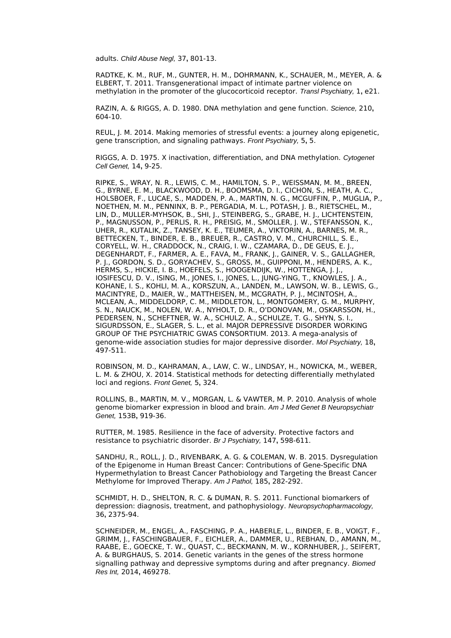adults. Child Abuse Negl, 37**,** 801-13.

RADTKE, K. M., RUF, M., GUNTER, H. M., DOHRMANN, K., SCHAUER, M., MEYER, A. & ELBERT, T. 2011. Transgenerational impact of intimate partner violence on methylation in the promoter of the glucocorticoid receptor. Transl Psychiatry, 1**,** e21.

RAZIN, A. & RIGGS, A. D. 1980. DNA methylation and gene function. Science, 210**,** 604-10.

REUL, J. M. 2014. Making memories of stressful events: a journey along epigenetic, gene transcription, and signaling pathways. Front Psychiatry, 5**,** 5.

RIGGS, A. D. 1975. X inactivation, differentiation, and DNA methylation. Cytogenet Cell Genet, 14**,** 9-25.

RIPKE, S., WRAY, N. R., LEWIS, C. M., HAMILTON, S. P., WEISSMAN, M. M., BREEN, G., BYRNE, E. M., BLACKWOOD, D. H., BOOMSMA, D. I., CICHON, S., HEATH, A. C., HOLSBOER, F., LUCAE, S., MADDEN, P. A., MARTIN, N. G., MCGUFFIN, P., MUGLIA, P., NOETHEN, M. M., PENNINX, B. P., PERGADIA, M. L., POTASH, J. B., RIETSCHEL, M., LIN, D., MULLER-MYHSOK, B., SHI, J., STEINBERG, S., GRABE, H. J., LICHTENSTEIN, P., MAGNUSSON, P., PERLIS, R. H., PREISIG, M., SMOLLER, J. W., STEFANSSON, K., UHER, R., KUTALIK, Z., TANSEY, K. E., TEUMER, A., VIKTORIN, A., BARNES, M. R., BETTECKEN, T., BINDER, E. B., BREUER, R., CASTRO, V. M., CHURCHILL, S. E., CORYELL, W. H., CRADDOCK, N., CRAIG, I. W., CZAMARA, D., DE GEUS, E. J., DEGENHARDT, F., FARMER, A. E., FAVA, M., FRANK, J., GAINER, V. S., GALLAGHER, P. J., GORDON, S. D., GORYACHEV, S., GROSS, M., GUIPPONI, M., HENDERS, A. K., HERMS, S., HICKIE, I. B., HOEFELS, S., HOOGENDIJK, W., HOTTENGA, J. J., IOSIFESCU, D. V., ISING, M., JONES, I., JONES, L., JUNG-YING, T., KNOWLES, J. A., KOHANE, I. S., KOHLI, M. A., KORSZUN, A., LANDEN, M., LAWSON, W. B., LEWIS, G., MACINTYRE, D., MAIER, W., MATTHEISEN, M., MCGRATH, P. J., MCINTOSH, A., MCLEAN, A., MIDDELDORP, C. M., MIDDLETON, L., MONTGOMERY, G. M., MURPHY, S. N., NAUCK, M., NOLEN, W. A., NYHOLT, D. R., O'DONOVAN, M., OSKARSSON, H., PEDERSEN, N., SCHEFTNER, W. A., SCHULZ, A., SCHULZE, T. G., SHYN, S. I., SIGURDSSON, E., SLAGER, S. L., et al. MAJOR DEPRESSIVE DISORDER WORKING GROUP OF THE PSYCHIATRIC GWAS CONSORTIUM. 2013. A mega-analysis of genome-wide association studies for major depressive disorder. Mol Psychiatry, 18**,** 497-511.

ROBINSON, M. D., KAHRAMAN, A., LAW, C. W., LINDSAY, H., NOWICKA, M., WEBER, L. M. & ZHOU, X. 2014. Statistical methods for detecting differentially methylated loci and regions. Front Genet, 5**,** 324.

ROLLINS, B., MARTIN, M. V., MORGAN, L. & VAWTER, M. P. 2010. Analysis of whole genome biomarker expression in blood and brain. Am J Med Genet B Neuropsychiatr Genet, 153B**,** 919-36.

RUTTER, M. 1985. Resilience in the face of adversity. Protective factors and resistance to psychiatric disorder. Br J Psychiatry, 147**,** 598-611.

SANDHU, R., ROLL, J. D., RIVENBARK, A. G. & COLEMAN, W. B. 2015. Dysregulation of the Epigenome in Human Breast Cancer: Contributions of Gene-Specific DNA Hypermethylation to Breast Cancer Pathobiology and Targeting the Breast Cancer Methylome for Improved Therapy. Am J Pathol, 185**,** 282-292.

SCHMIDT, H. D., SHELTON, R. C. & DUMAN, R. S. 2011. Functional biomarkers of depression: diagnosis, treatment, and pathophysiology. Neuropsychopharmacology, 36**,** 2375-94.

SCHNEIDER, M., ENGEL, A., FASCHING, P. A., HABERLE, L., BINDER, E. B., VOIGT, F., GRIMM, J., FASCHINGBAUER, F., EICHLER, A., DAMMER, U., REBHAN, D., AMANN, M., RAABE, E., GOECKE, T. W., QUAST, C., BECKMANN, M. W., KORNHUBER, J., SEIFERT, A. & BURGHAUS, S. 2014. Genetic variants in the genes of the stress hormone signalling pathway and depressive symptoms during and after pregnancy. Biomed Res Int, 2014**,** 469278.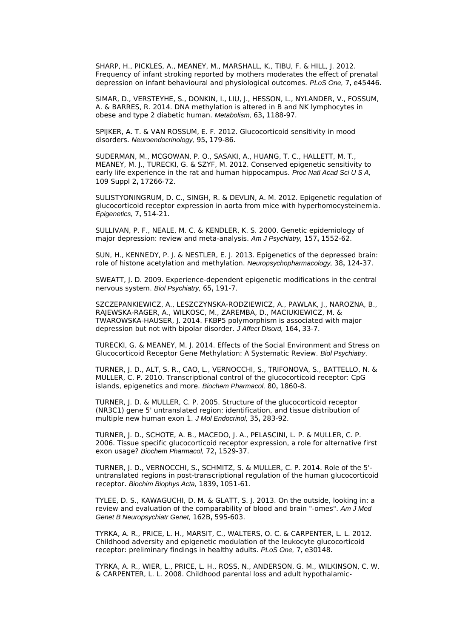SHARP, H., PICKLES, A., MEANEY, M., MARSHALL, K., TIBU, F. & HILL, J. 2012. Frequency of infant stroking reported by mothers moderates the effect of prenatal depression on infant behavioural and physiological outcomes. PLoS One, 7**,** e45446.

SIMAR, D., VERSTEYHE, S., DONKIN, I., LIU, J., HESSON, L., NYLANDER, V., FOSSUM, A. & BARRES, R. 2014. DNA methylation is altered in B and NK lymphocytes in obese and type 2 diabetic human. Metabolism, 63**,** 1188-97.

SPIJKER, A. T. & VAN ROSSUM, E. F. 2012. Glucocorticoid sensitivity in mood disorders. Neuroendocrinology, 95**,** 179-86.

SUDERMAN, M., MCGOWAN, P. O., SASAKI, A., HUANG, T. C., HALLETT, M. T., MEANEY, M. J., TURECKI, G. & SZYF, M. 2012. Conserved epigenetic sensitivity to early life experience in the rat and human hippocampus. Proc Natl Acad Sci U S A, 109 Suppl 2**,** 17266-72.

SULISTYONINGRUM, D. C., SINGH, R. & DEVLIN, A. M. 2012. Epigenetic regulation of glucocorticoid receptor expression in aorta from mice with hyperhomocysteinemia. Epigenetics, 7**,** 514-21.

SULLIVAN, P. F., NEALE, M. C. & KENDLER, K. S. 2000. Genetic epidemiology of major depression: review and meta-analysis. Am J Psychiatry, 157**,** 1552-62.

SUN, H., KENNEDY, P. J. & NESTLER, E. J. 2013. Epigenetics of the depressed brain: role of histone acetylation and methylation. Neuropsychopharmacology, 38**,** 124-37.

SWEATT, J. D. 2009. Experience-dependent epigenetic modifications in the central nervous system. Biol Psychiatry, 65**,** 191-7.

SZCZEPANKIEWICZ, A., LESZCZYNSKA-RODZIEWICZ, A., PAWLAK, J., NAROZNA, B., RAJEWSKA-RAGER, A., WILKOSC, M., ZAREMBA, D., MACIUKIEWICZ, M. & TWAROWSKA-HAUSER, J. 2014. FKBP5 polymorphism is associated with major depression but not with bipolar disorder. J Affect Disord, 164**,** 33-7.

TURECKI, G. & MEANEY, M. J. 2014. Effects of the Social Environment and Stress on Glucocorticoid Receptor Gene Methylation: A Systematic Review. Biol Psychiatry.

TURNER, J. D., ALT, S. R., CAO, L., VERNOCCHI, S., TRIFONOVA, S., BATTELLO, N. & MULLER, C. P. 2010. Transcriptional control of the glucocorticoid receptor: CpG islands, epigenetics and more. Biochem Pharmacol, 80**,** 1860-8.

TURNER, J. D. & MULLER, C. P. 2005. Structure of the glucocorticoid receptor (NR3C1) gene 5' untranslated region: identification, and tissue distribution of multiple new human exon 1. J Mol Endocrinol, 35**,** 283-92.

TURNER, J. D., SCHOTE, A. B., MACEDO, J. A., PELASCINI, L. P. & MULLER, C. P. 2006. Tissue specific glucocorticoid receptor expression, a role for alternative first exon usage? Biochem Pharmacol, 72**,** 1529-37.

TURNER, J. D., VERNOCCHI, S., SCHMITZ, S. & MULLER, C. P. 2014. Role of the 5' untranslated regions in post-transcriptional regulation of the human glucocorticoid receptor. Biochim Biophys Acta, 1839**,** 1051-61.

TYLEE, D. S., KAWAGUCHI, D. M. & GLATT, S. J. 2013. On the outside, looking in: a review and evaluation of the comparability of blood and brain "-omes". Am J Med Genet B Neuropsychiatr Genet, 162B**,** 595-603.

TYRKA, A. R., PRICE, L. H., MARSIT, C., WALTERS, O. C. & CARPENTER, L. L. 2012. Childhood adversity and epigenetic modulation of the leukocyte glucocorticoid receptor: preliminary findings in healthy adults. PLoS One, 7**,** e30148.

TYRKA, A. R., WIER, L., PRICE, L. H., ROSS, N., ANDERSON, G. M., WILKINSON, C. W. & CARPENTER, L. L. 2008. Childhood parental loss and adult hypothalamic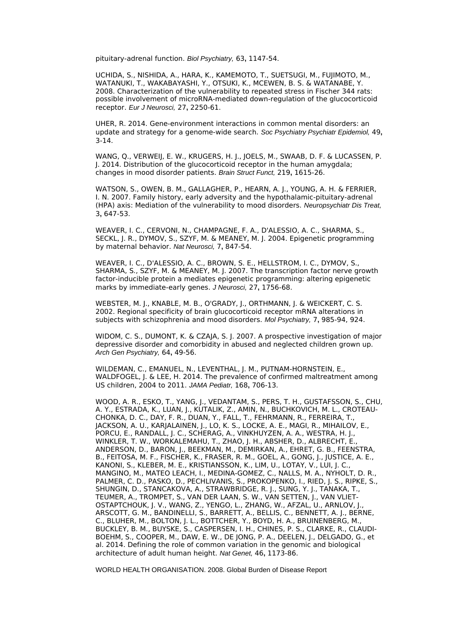pituitary-adrenal function. Biol Psychiatry, 63**,** 1147-54.

UCHIDA, S., NISHIDA, A., HARA, K., KAMEMOTO, T., SUETSUGI, M., FUJIMOTO, M., WATANUKI, T., WAKABAYASHI, Y., OTSUKI, K., MCEWEN, B. S. & WATANABE, Y. 2008. Characterization of the vulnerability to repeated stress in Fischer 344 rats: possible involvement of microRNA-mediated down-regulation of the glucocorticoid receptor. Eur J Neurosci, 27**,** 2250-61.

UHER, R. 2014. Gene-environment interactions in common mental disorders: an update and strategy for a genome-wide search. Soc Psychiatry Psychiatr Epidemiol, 49**,** 3-14.

WANG, Q., VERWEIJ, E. W., KRUGERS, H. J., JOELS, M., SWAAB, D. F. & LUCASSEN, P. J. 2014. Distribution of the glucocorticoid receptor in the human amygdala; changes in mood disorder patients. Brain Struct Funct, 219**,** 1615-26.

WATSON, S., OWEN, B. M., GALLAGHER, P., HEARN, A. J., YOUNG, A. H. & FERRIER, I. N. 2007. Family history, early adversity and the hypothalamic-pituitary-adrenal (HPA) axis: Mediation of the vulnerability to mood disorders. Neuropsychiatr Dis Treat, 3**,** 647-53.

WEAVER, I. C., CERVONI, N., CHAMPAGNE, F. A., D'ALESSIO, A. C., SHARMA, S., SECKL, J. R., DYMOV, S., SZYF, M. & MEANEY, M. J. 2004. Epigenetic programming by maternal behavior. Nat Neurosci, 7**,** 847-54.

WEAVER, I. C., D'ALESSIO, A. C., BROWN, S. E., HELLSTROM, I. C., DYMOV, S., SHARMA, S., SZYF, M. & MEANEY, M. J. 2007. The transcription factor nerve growth factor-inducible protein a mediates epigenetic programming: altering epigenetic marks by immediate-early genes. J Neurosci, 27**,** 1756-68.

WEBSTER, M. J., KNABLE, M. B., O'GRADY, J., ORTHMANN, J. & WEICKERT, C. S. 2002. Regional specificity of brain glucocorticoid receptor mRNA alterations in subjects with schizophrenia and mood disorders. Mol Psychiatry, 7**,** 985-94, 924.

WIDOM, C. S., DUMONT, K. & CZAJA, S. J. 2007. A prospective investigation of major depressive disorder and comorbidity in abused and neglected children grown up. Arch Gen Psychiatry, 64**,** 49-56.

WILDEMAN, C., EMANUEL, N., LEVENTHAL, J. M., PUTNAM-HORNSTEIN, E., WALDFOGEL, J. & LEE, H. 2014. The prevalence of confirmed maltreatment among US children, 2004 to 2011. JAMA Pediatr, 168**,** 706-13.

WOOD, A. R., ESKO, T., YANG, J., VEDANTAM, S., PERS, T. H., GUSTAFSSON, S., CHU, A. Y., ESTRADA, K., LUAN, J., KUTALIK, Z., AMIN, N., BUCHKOVICH, M. L., CROTEAU-CHONKA, D. C., DAY, F. R., DUAN, Y., FALL, T., FEHRMANN, R., FERREIRA, T., JACKSON, A. U., KARJALAINEN, J., LO, K. S., LOCKE, A. E., MAGI, R., MIHAILOV, E., PORCU, E., RANDALL, J. C., SCHERAG, A., VINKHUYZEN, A. A., WESTRA, H. J., WINKLER, T. W., WORKALEMAHU, T., ZHAO, J. H., ABSHER, D., ALBRECHT, E., ANDERSON, D., BARON, J., BEEKMAN, M., DEMIRKAN, A., EHRET, G. B., FEENSTRA, B., FEITOSA, M. F., FISCHER, K., FRASER, R. M., GOEL, A., GONG, J., JUSTICE, A. E., KANONI, S., KLEBER, M. E., KRISTIANSSON, K., LIM, U., LOTAY, V., LUI, J. C., MANGINO, M., MATEO LEACH, I., MEDINA-GOMEZ, C., NALLS, M. A., NYHOLT, D. R., PALMER, C. D., PASKO, D., PECHLIVANIS, S., PROKOPENKO, I., RIED, J. S., RIPKE, S., SHUNGIN, D., STANCAKOVA, A., STRAWBRIDGE, R. J., SUNG, Y. J., TANAKA, T., TEUMER, A., TROMPET, S., VAN DER LAAN, S. W., VAN SETTEN, J., VAN VLIET-OSTAPTCHOUK, J. V., WANG, Z., YENGO, L., ZHANG, W., AFZAL, U., ARNLOV, J., ARSCOTT, G. M., BANDINELLI, S., BARRETT, A., BELLIS, C., BENNETT, A. J., BERNE, C., BLUHER, M., BOLTON, J. L., BOTTCHER, Y., BOYD, H. A., BRUINENBERG, M., BUCKLEY, B. M., BUYSKE, S., CASPERSEN, I. H., CHINES, P. S., CLARKE, R., CLAUDI-BOEHM, S., COOPER, M., DAW, E. W., DE JONG, P. A., DEELEN, J., DELGADO, G., et al. 2014. Defining the role of common variation in the genomic and biological architecture of adult human height. Nat Genet, 46**,** 1173-86.

WORLD HEALTH ORGANISATION. 2008. Global Burden of Disease Report